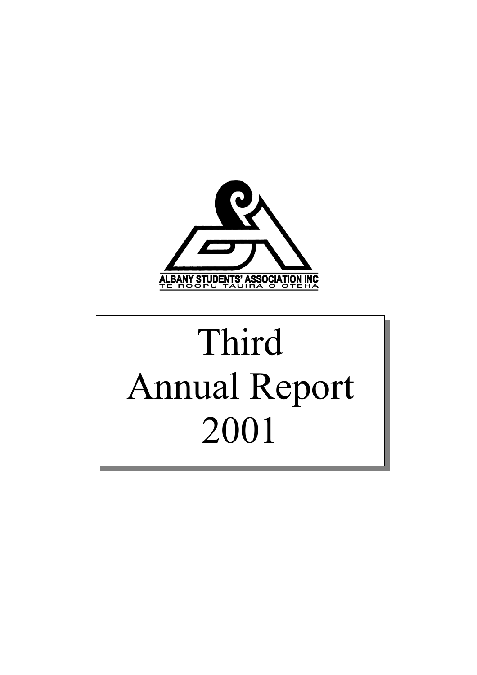

# Third Annual Report 2001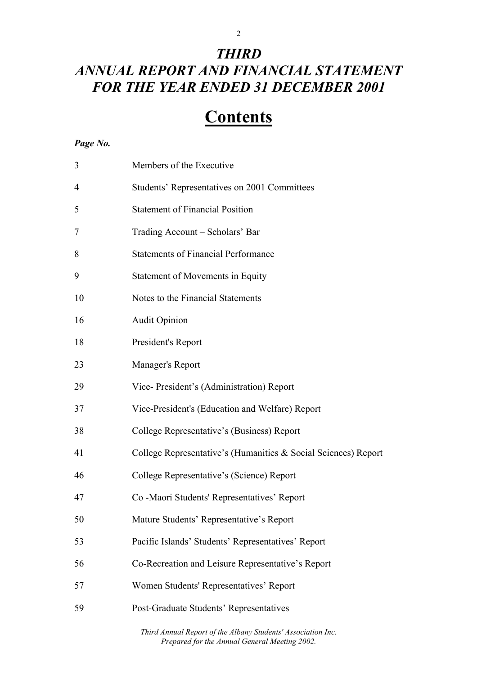# 2

# *THIRD ANNUAL REPORT AND FINANCIAL STATEMENT FOR THE YEAR ENDED 31 DECEMBER 2001*

# **Contents**

#### *Page No.*

| 3              | Members of the Executive                                       |
|----------------|----------------------------------------------------------------|
| 4              | Students' Representatives on 2001 Committees                   |
| 5              | <b>Statement of Financial Position</b>                         |
| $\overline{7}$ | Trading Account – Scholars' Bar                                |
| 8              | <b>Statements of Financial Performance</b>                     |
| 9              | <b>Statement of Movements in Equity</b>                        |
| 10             | Notes to the Financial Statements                              |
| 16             | <b>Audit Opinion</b>                                           |
| 18             | President's Report                                             |
| 23             | Manager's Report                                               |
| 29             | Vice-President's (Administration) Report                       |
| 37             | Vice-President's (Education and Welfare) Report                |
| 38             | College Representative's (Business) Report                     |
| 41             | College Representative's (Humanities & Social Sciences) Report |
| 46             | College Representative's (Science) Report                      |
| 47             | Co -Maori Students' Representatives' Report                    |
| 50             | Mature Students' Representative's Report                       |
| 53             | Pacific Islands' Students' Representatives' Report             |
| 56             | Co-Recreation and Leisure Representative's Report              |
| 57             | Women Students' Representatives' Report                        |
| 59             | Post-Graduate Students' Representatives                        |
|                |                                                                |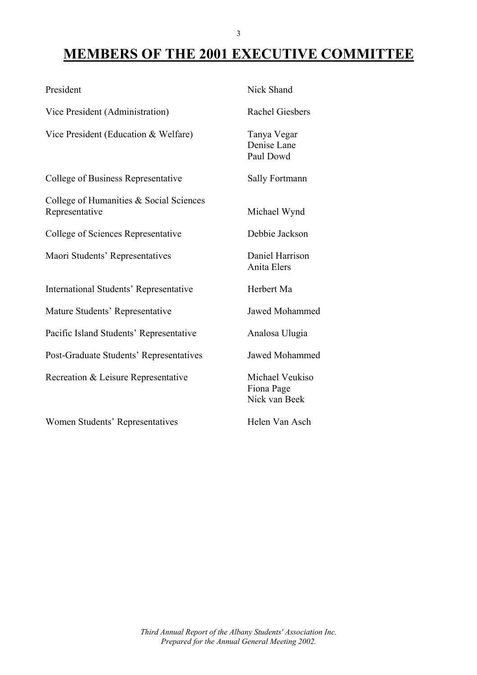# **MEMBERS OF THE 2001 EXECUTIVE COMMITTEE**

| President                                                 | Nick Shand                                     |
|-----------------------------------------------------------|------------------------------------------------|
| Vice President (Administration)                           | <b>Rachel Giesbers</b>                         |
| Vice President (Education & Welfare)                      | Tanya Vegar<br>Denise Lane<br>Paul Dowd        |
| <b>College of Business Representative</b>                 | <b>Sally Fortmann</b>                          |
| College of Humanities & Social Sciences<br>Representative | Michael Wynd                                   |
| <b>College of Sciences Representative</b>                 | Debbie Jackson                                 |
| Maori Students' Representatives                           | Daniel Harrison<br>Anita Elers                 |
| <b>International Students' Representative</b>             | Herbert Ma                                     |
| Mature Students' Representative                           | <b>Jawed Mohammed</b>                          |
| Pacific Island Students' Representative                   | Analosa Ulugia                                 |
| Post-Graduate Students' Representatives                   | <b>Jawed Mohammed</b>                          |
| Recreation & Leisure Representative                       | Michael Veukiso<br>Fiona Page<br>Nick van Beek |
| <b>Women Students' Representatives</b>                    | Helen Van Asch                                 |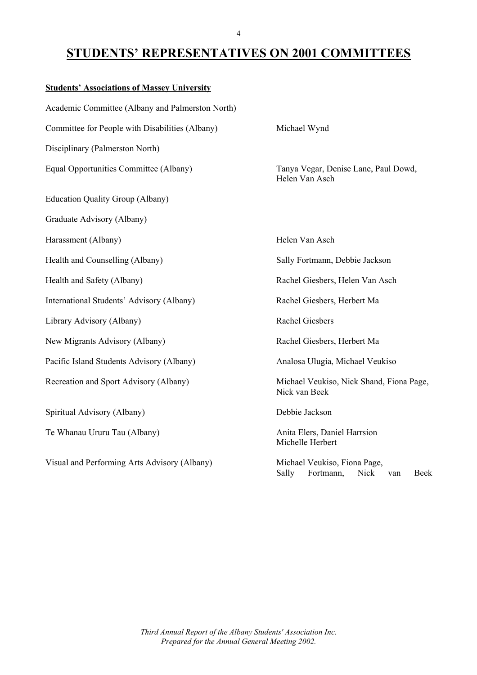### **STUDENTS' REPRESENTATIVES ON 2001 COMMITTEES**

| <b>Students' Associations of Massey University</b> |                                                                                  |
|----------------------------------------------------|----------------------------------------------------------------------------------|
| Academic Committee (Albany and Palmerston North)   |                                                                                  |
| Committee for People with Disabilities (Albany)    | Michael Wynd                                                                     |
| Disciplinary (Palmerston North)                    |                                                                                  |
| Equal Opportunities Committee (Albany)             | Tanya Vegar, Denise Lane, Paul Dowd,<br>Helen Van Asch                           |
| <b>Education Quality Group (Albany)</b>            |                                                                                  |
| Graduate Advisory (Albany)                         |                                                                                  |
| Harassment (Albany)                                | Helen Van Asch                                                                   |
| Health and Counselling (Albany)                    | Sally Fortmann, Debbie Jackson                                                   |
| Health and Safety (Albany)                         | Rachel Giesbers, Helen Van Asch                                                  |
| International Students' Advisory (Albany)          | Rachel Giesbers, Herbert Ma                                                      |
| Library Advisory (Albany)                          | <b>Rachel Giesbers</b>                                                           |
| New Migrants Advisory (Albany)                     | Rachel Giesbers, Herbert Ma                                                      |
| Pacific Island Students Advisory (Albany)          | Analosa Ulugia, Michael Veukiso                                                  |
| Recreation and Sport Advisory (Albany)             | Michael Veukiso, Nick Shand, Fiona Page,<br>Nick van Beek                        |
| Spiritual Advisory (Albany)                        | Debbie Jackson                                                                   |
| Te Whanau Ururu Tau (Albany)                       | Anita Elers, Daniel Harrsion<br>Michelle Herbert                                 |
| Visual and Performing Arts Advisory (Albany)       | Michael Veukiso, Fiona Page,<br><b>Nick</b><br>Sally<br>Fortmann,<br>Beek<br>van |

*Third Annual Report of the Albany Students' Association Inc. Prepared for the Annual General Meeting 2002.*

#### 4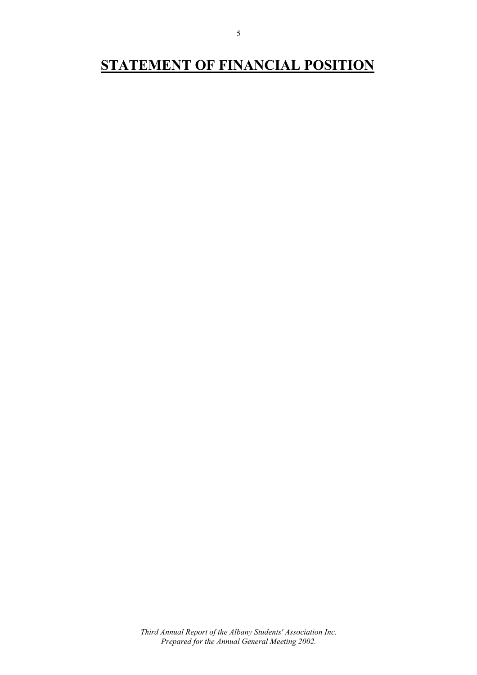# **STATEMENT OF FINANCIAL POSITION**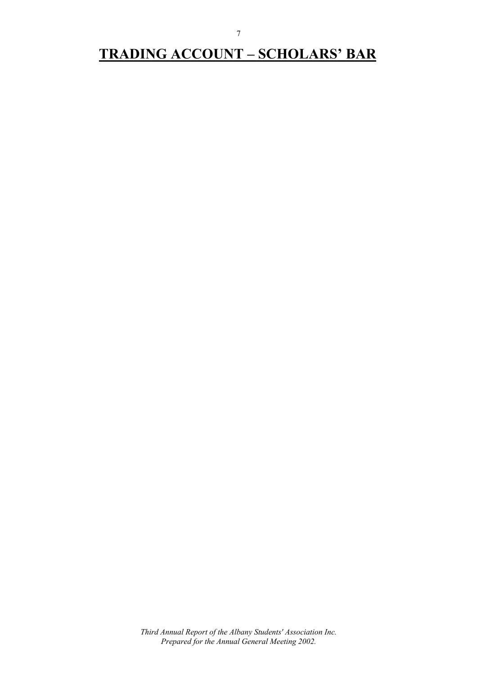# **TRADING ACCOUNT – SCHOLARS' BAR**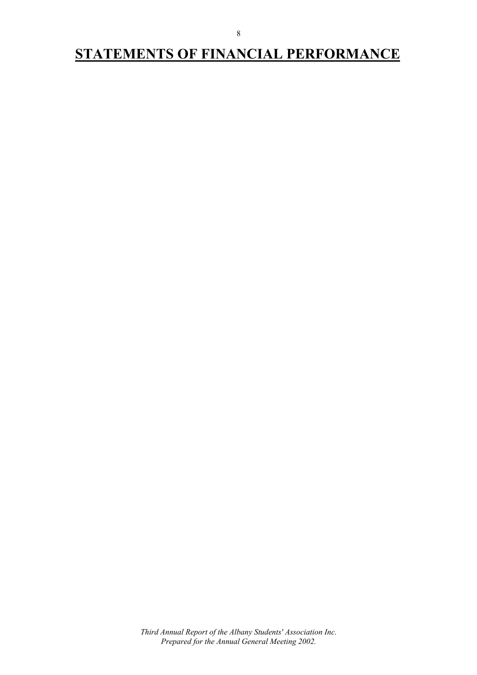# **STATEMENTS OF FINANCIAL PERFORMANCE**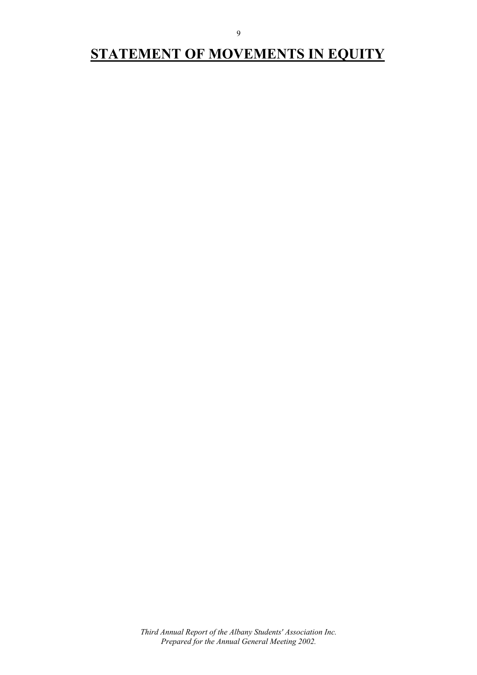# **STATEMENT OF MOVEMENTS IN EQUITY**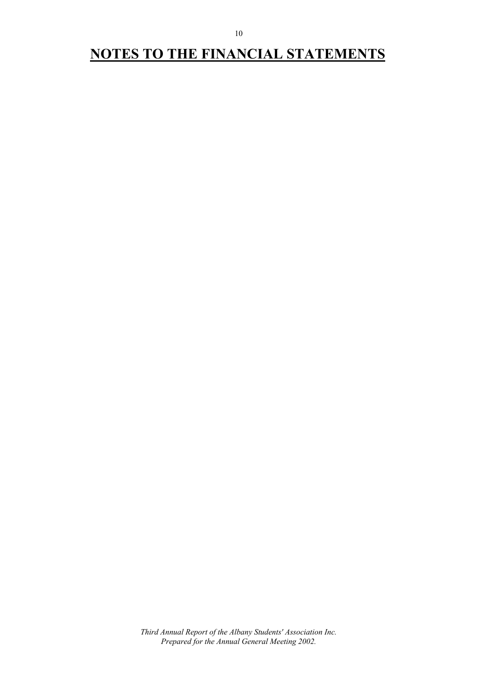# **NOTES TO THE FINANCIAL STATEMENTS**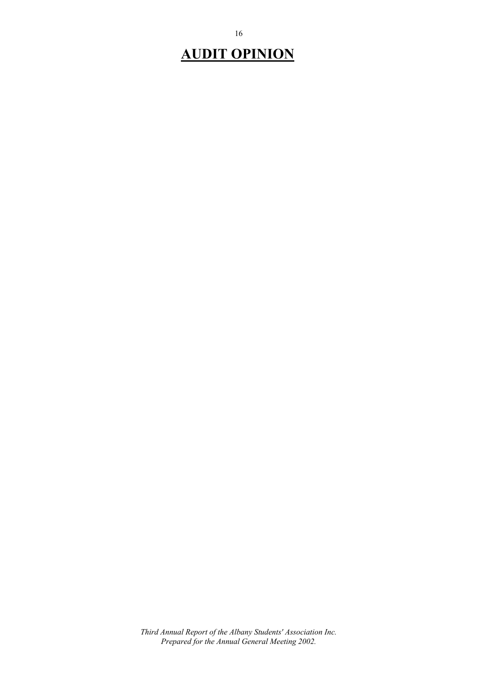# **AUDIT OPINION**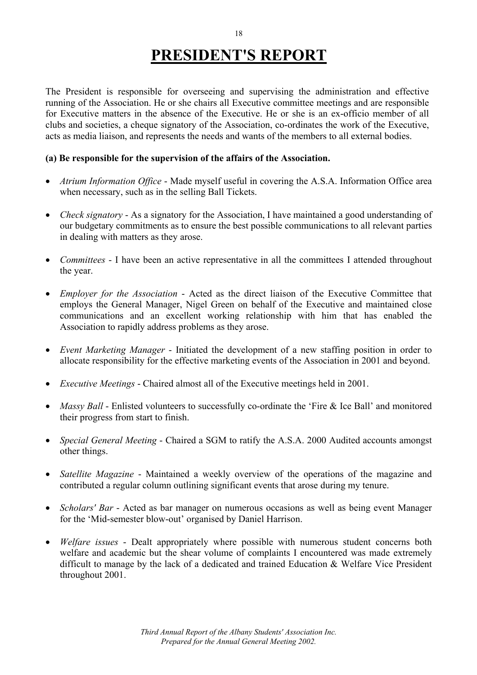# **PRESIDENT'S REPORT**

The President is responsible for overseeing and supervising the administration and effective running of the Association. He or she chairs all Executive committee meetings and are responsible for Executive matters in the absence of the Executive. He or she is an ex-officio member of all clubs and societies, a cheque signatory of the Association, co-ordinates the work of the Executive, acts as media liaison, and represents the needs and wants of the members to all external bodies.

#### **(a) Be responsible for the supervision of the affairs of the Association.**

- *Atrium Information Office* Made myself useful in covering the A.S.A. Information Office area when necessary, such as in the selling Ball Tickets.
- *Check signatory* As a signatory for the Association, I have maintained a good understanding of our budgetary commitments as to ensure the best possible communications to all relevant parties in dealing with matters as they arose.
- *Committees* I have been an active representative in all the committees I attended throughout the year.
- *Employer for the Association* Acted as the direct liaison of the Executive Committee that employs the General Manager, Nigel Green on behalf of the Executive and maintained close communications and an excellent working relationship with him that has enabled the Association to rapidly address problems as they arose.
- *Event Marketing Manager* Initiated the development of a new staffing position in order to allocate responsibility for the effective marketing events of the Association in 2001 and beyond.
- *Executive Meetings* Chaired almost all of the Executive meetings held in 2001.
- *Massy Ball* Enlisted volunteers to successfully co-ordinate the 'Fire & Ice Ball' and monitored their progress from start to finish.
- *Special General Meeting* Chaired a SGM to ratify the A.S.A. 2000 Audited accounts amongst other things.
- *Satellite Magazine* Maintained a weekly overview of the operations of the magazine and contributed a regular column outlining significant events that arose during my tenure.
- *Scholars' Bar* Acted as bar manager on numerous occasions as well as being event Manager for the 'Mid-semester blow-out' organised by Daniel Harrison.
- *Welfare issues* Dealt appropriately where possible with numerous student concerns both welfare and academic but the shear volume of complaints I encountered was made extremely difficult to manage by the lack of a dedicated and trained Education & Welfare Vice President throughout 2001.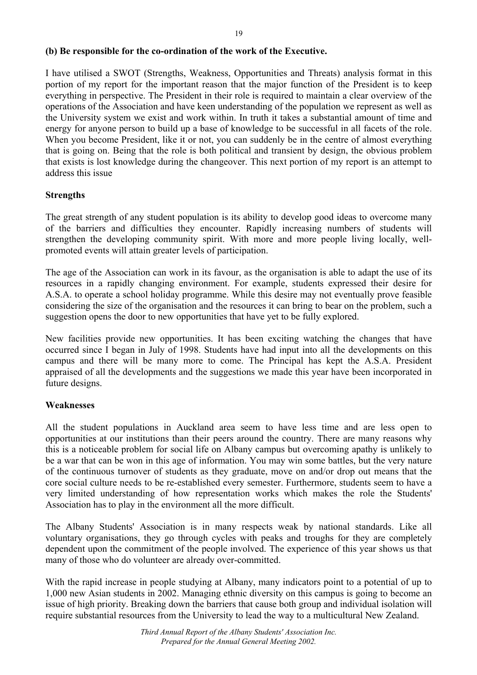#### **(b) Be responsible for the co-ordination of the work of the Executive.**

I have utilised a SWOT (Strengths, Weakness, Opportunities and Threats) analysis format in this portion of my report for the important reason that the major function of the President is to keep everything in perspective. The President in their role is required to maintain a clear overview of the operations of the Association and have keen understanding of the population we represent as well as the University system we exist and work within. In truth it takes a substantial amount of time and energy for anyone person to build up a base of knowledge to be successful in all facets of the role. When you become President, like it or not, you can suddenly be in the centre of almost everything that is going on. Being that the role is both political and transient by design, the obvious problem that exists is lost knowledge during the changeover. This next portion of my report is an attempt to address this issue

#### **Strengths**

The great strength of any student population is its ability to develop good ideas to overcome many of the barriers and difficulties they encounter. Rapidly increasing numbers of students will strengthen the developing community spirit. With more and more people living locally, wellpromoted events will attain greater levels of participation.

The age of the Association can work in its favour, as the organisation is able to adapt the use of its resources in a rapidly changing environment. For example, students expressed their desire for A.S.A. to operate a school holiday programme. While this desire may not eventually prove feasible considering the size of the organisation and the resources it can bring to bear on the problem, such a suggestion opens the door to new opportunities that have yet to be fully explored.

New facilities provide new opportunities. It has been exciting watching the changes that have occurred since I began in July of 1998. Students have had input into all the developments on this campus and there will be many more to come. The Principal has kept the A.S.A. President appraised of all the developments and the suggestions we made this year have been incorporated in future designs.

#### **Weaknesses**

All the student populations in Auckland area seem to have less time and are less open to opportunities at our institutions than their peers around the country. There are many reasons why this is a noticeable problem for social life on Albany campus but overcoming apathy is unlikely to be a war that can be won in this age of information. You may win some battles, but the very nature of the continuous turnover of students as they graduate, move on and/or drop out means that the core social culture needs to be re-established every semester. Furthermore, students seem to have a very limited understanding of how representation works which makes the role the Students' Association has to play in the environment all the more difficult.

The Albany Students' Association is in many respects weak by national standards. Like all voluntary organisations, they go through cycles with peaks and troughs for they are completely dependent upon the commitment of the people involved. The experience of this year shows us that many of those who do volunteer are already over-committed.

With the rapid increase in people studying at Albany, many indicators point to a potential of up to 1,000 new Asian students in 2002. Managing ethnic diversity on this campus is going to become an issue of high priority. Breaking down the barriers that cause both group and individual isolation will require substantial resources from the University to lead the way to a multicultural New Zealand.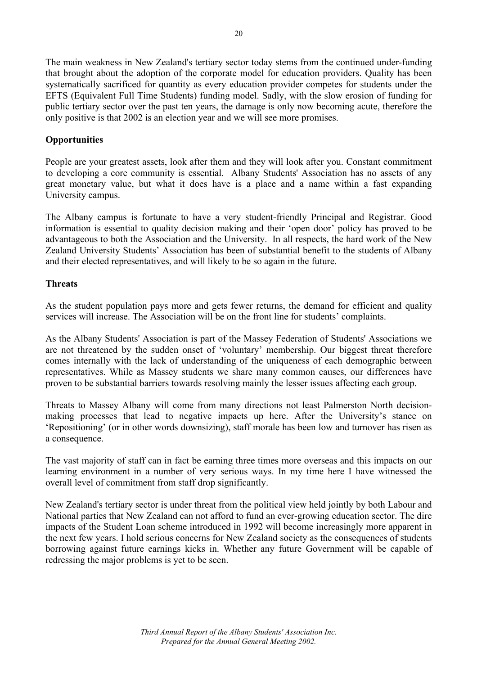The main weakness in New Zealand's tertiary sector today stems from the continued under-funding that brought about the adoption of the corporate model for education providers. Quality has been systematically sacrificed for quantity as every education provider competes for students under the EFTS (Equivalent Full Time Students) funding model. Sadly, with the slow erosion of funding for public tertiary sector over the past ten years, the damage is only now becoming acute, therefore the only positive is that 2002 is an election year and we will see more promises.

#### **Opportunities**

People are your greatest assets, look after them and they will look after you. Constant commitment to developing a core community is essential. Albany Students' Association has no assets of any great monetary value, but what it does have is a place and a name within a fast expanding University campus.

The Albany campus is fortunate to have a very student-friendly Principal and Registrar. Good information is essential to quality decision making and their 'open door' policy has proved to be advantageous to both the Association and the University. In all respects, the hard work of the New Zealand University Students' Association has been of substantial benefit to the students of Albany and their elected representatives, and will likely to be so again in the future.

#### **Threats**

As the student population pays more and gets fewer returns, the demand for efficient and quality services will increase. The Association will be on the front line for students' complaints.

As the Albany Students' Association is part of the Massey Federation of Students' Associations we are not threatened by the sudden onset of 'voluntary' membership. Our biggest threat therefore comes internally with the lack of understanding of the uniqueness of each demographic between representatives. While as Massey students we share many common causes, our differences have proven to be substantial barriers towards resolving mainly the lesser issues affecting each group.

Threats to Massey Albany will come from many directions not least Palmerston North decisionmaking processes that lead to negative impacts up here. After the University's stance on 'Repositioning' (or in other words downsizing), staff morale has been low and turnover has risen as a consequence.

The vast majority of staff can in fact be earning three times more overseas and this impacts on our learning environment in a number of very serious ways. In my time here I have witnessed the overall level of commitment from staff drop significantly.

New Zealand's tertiary sector is under threat from the political view held jointly by both Labour and National parties that New Zealand can not afford to fund an ever-growing education sector. The dire impacts of the Student Loan scheme introduced in 1992 will become increasingly more apparent in the next few years. I hold serious concerns for New Zealand society as the consequences of students borrowing against future earnings kicks in. Whether any future Government will be capable of redressing the major problems is yet to be seen.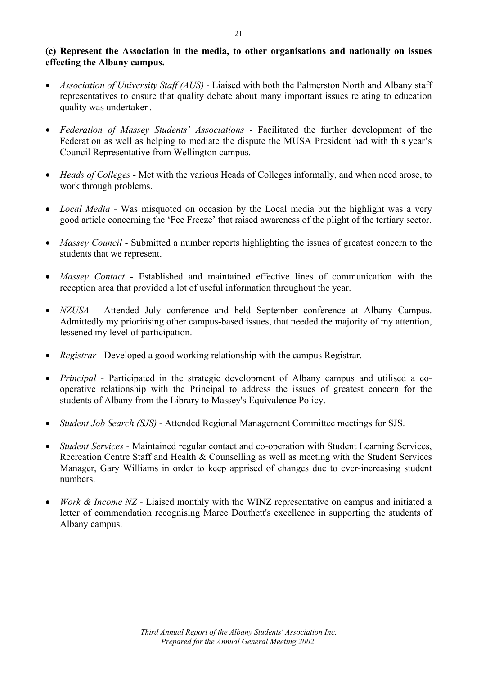#### **(c) Represent the Association in the media, to other organisations and nationally on issues effecting the Albany campus.**

- *Association of University Staff (AUS)* Liaised with both the Palmerston North and Albany staff representatives to ensure that quality debate about many important issues relating to education quality was undertaken.
- *Federation of Massey Students' Associations* Facilitated the further development of the Federation as well as helping to mediate the dispute the MUSA President had with this year's Council Representative from Wellington campus.
- *Heads of Colleges* Met with the various Heads of Colleges informally, and when need arose, to work through problems.
- *Local Media* Was misquoted on occasion by the Local media but the highlight was a very good article concerning the 'Fee Freeze' that raised awareness of the plight of the tertiary sector.
- *Massey Council* Submitted a number reports highlighting the issues of greatest concern to the students that we represent.
- *Massey Contact* Established and maintained effective lines of communication with the reception area that provided a lot of useful information throughout the year.
- *NZUSA* Attended July conference and held September conference at Albany Campus. Admittedly my prioritising other campus-based issues, that needed the majority of my attention, lessened my level of participation.
- *Registrar* Developed a good working relationship with the campus Registrar.
- *Principal* Participated in the strategic development of Albany campus and utilised a cooperative relationship with the Principal to address the issues of greatest concern for the students of Albany from the Library to Massey's Equivalence Policy.
- *Student Job Search (SJS)* Attended Regional Management Committee meetings for SJS.
- *Student Services* Maintained regular contact and co-operation with Student Learning Services, Recreation Centre Staff and Health & Counselling as well as meeting with the Student Services Manager, Gary Williams in order to keep apprised of changes due to ever-increasing student numbers.
- *Work & Income NZ* Liaised monthly with the WINZ representative on campus and initiated a letter of commendation recognising Maree Douthett's excellence in supporting the students of Albany campus.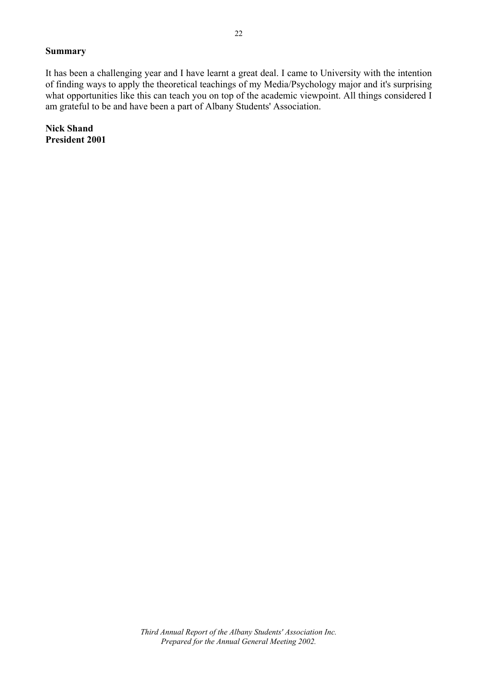#### **Summary**

It has been a challenging year and I have learnt a great deal. I came to University with the intention of finding ways to apply the theoretical teachings of my Media/Psychology major and it's surprising what opportunities like this can teach you on top of the academic viewpoint. All things considered I am grateful to be and have been a part of Albany Students' Association.

**Nick Shand President 2001**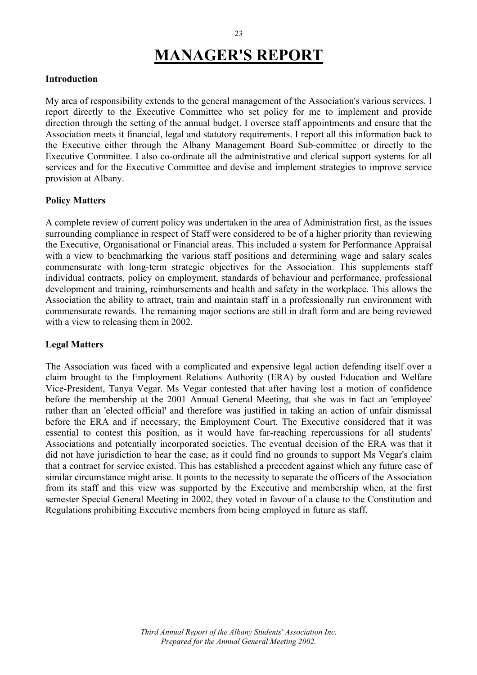# **MANAGER'S REPORT**

#### **Introduction**

My area of responsibility extends to the general management of the Association's various services. I report directly to the Executive Committee who set policy for me to implement and provide direction through the setting of the annual budget. I oversee staff appointments and ensure that the Association meets it financial, legal and statutory requirements. I report all this information back to the Executive either through the Albany Management Board Sub-committee or directly to the Executive Committee. I also co-ordinate all the administrative and clerical support systems for all services and for the Executive Committee and devise and implement strategies to improve service provision at Albany.

#### **Policy Matters**

A complete review of current policy was undertaken in the area of Administration first, as the issues surrounding compliance in respect of Staff were considered to be of a higher priority than reviewing the Executive, Organisational or Financial areas. This included a system for Performance Appraisal with a view to benchmarking the various staff positions and determining wage and salary scales commensurate with long-term strategic objectives for the Association. This supplements staff individual contracts, policy on employment, standards of behaviour and performance, professional development and training, reimbursements and health and safety in the workplace. This allows the Association the ability to attract, train and maintain staff in a professionally run environment with commensurate rewards. The remaining major sections are still in draft form and are being reviewed with a view to releasing them in 2002.

#### **Legal Matters**

The Association was faced with a complicated and expensive legal action defending itself over a claim brought to the Employment Relations Authority (ERA) by ousted Education and Welfare Vice-President, Tanya Vegar. Ms Vegar contested that after having lost a motion of confidence before the membership at the 2001 Annual General Meeting, that she was in fact an 'employee' rather than an 'elected official' and therefore was justified in taking an action of unfair dismissal before the ERA and if necessary, the Employment Court. The Executive considered that it was essential to contest this position, as it would have far-reaching repercussions for all students' Associations and potentially incorporated societies. The eventual decision of the ERA was that it did not have jurisdiction to hear the case, as it could find no grounds to support Ms Vegar's claim that a contract for service existed. This has established a precedent against which any future case of similar circumstance might arise. It points to the necessity to separate the officers of the Association from its staff and this view was supported by the Executive and membership when, at the first semester Special General Meeting in 2002, they voted in favour of a clause to the Constitution and Regulations prohibiting Executive members from being employed in future as staff.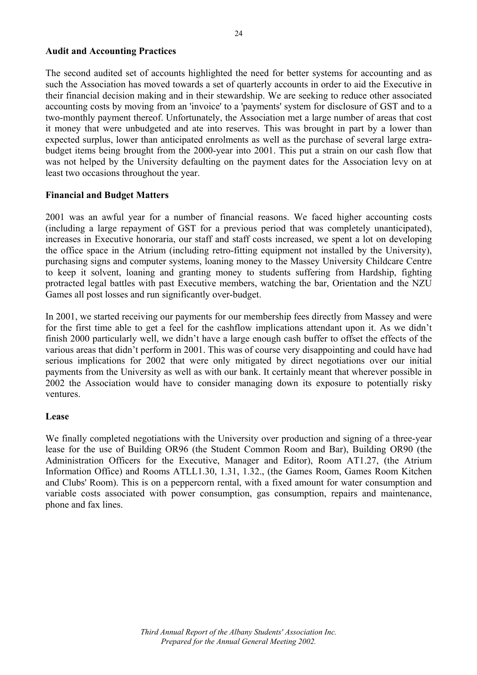#### **Audit and Accounting Practices**

The second audited set of accounts highlighted the need for better systems for accounting and as such the Association has moved towards a set of quarterly accounts in order to aid the Executive in their financial decision making and in their stewardship. We are seeking to reduce other associated accounting costs by moving from an 'invoice' to a 'payments' system for disclosure of GST and to a two-monthly payment thereof. Unfortunately, the Association met a large number of areas that cost it money that were unbudgeted and ate into reserves. This was brought in part by a lower than expected surplus, lower than anticipated enrolments as well as the purchase of several large extrabudget items being brought from the 2000-year into 2001. This put a strain on our cash flow that was not helped by the University defaulting on the payment dates for the Association levy on at least two occasions throughout the year.

#### **Financial and Budget Matters**

2001 was an awful year for a number of financial reasons. We faced higher accounting costs (including a large repayment of GST for a previous period that was completely unanticipated), increases in Executive honoraria, our staff and staff costs increased, we spent a lot on developing the office space in the Atrium (including retro-fitting equipment not installed by the University), purchasing signs and computer systems, loaning money to the Massey University Childcare Centre to keep it solvent, loaning and granting money to students suffering from Hardship, fighting protracted legal battles with past Executive members, watching the bar, Orientation and the NZU Games all post losses and run significantly over-budget.

In 2001, we started receiving our payments for our membership fees directly from Massey and were for the first time able to get a feel for the cashflow implications attendant upon it. As we didn't finish 2000 particularly well, we didn't have a large enough cash buffer to offset the effects of the various areas that didn't perform in 2001. This was of course very disappointing and could have had serious implications for 2002 that were only mitigated by direct negotiations over our initial payments from the University as well as with our bank. It certainly meant that wherever possible in 2002 the Association would have to consider managing down its exposure to potentially risky ventures.

#### **Lease**

We finally completed negotiations with the University over production and signing of a three-year lease for the use of Building OR96 (the Student Common Room and Bar), Building OR90 (the Administration Officers for the Executive, Manager and Editor), Room AT1.27, (the Atrium Information Office) and Rooms ATLL1.30, 1.31, 1.32., (the Games Room, Games Room Kitchen and Clubs' Room). This is on a peppercorn rental, with a fixed amount for water consumption and variable costs associated with power consumption, gas consumption, repairs and maintenance, phone and fax lines.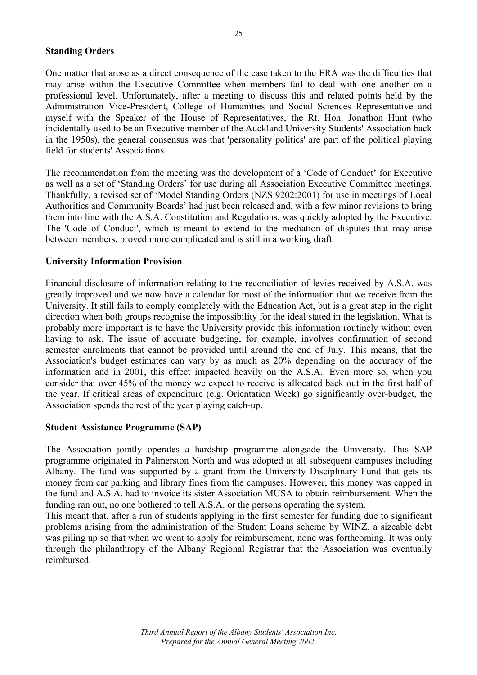#### **Standing Orders**

One matter that arose as a direct consequence of the case taken to the ERA was the difficulties that may arise within the Executive Committee when members fail to deal with one another on a professional level. Unfortunately, after a meeting to discuss this and related points held by the Administration Vice-President, College of Humanities and Social Sciences Representative and myself with the Speaker of the House of Representatives, the Rt. Hon. Jonathon Hunt (who incidentally used to be an Executive member of the Auckland University Students' Association back in the 1950s), the general consensus was that 'personality politics' are part of the political playing field for students' Associations.

The recommendation from the meeting was the development of a 'Code of Conduct' for Executive as well as a set of 'Standing Orders' for use during all Association Executive Committee meetings. Thankfully, a revised set of 'Model Standing Orders (NZS 9202:2001) for use in meetings of Local Authorities and Community Boards' had just been released and, with a few minor revisions to bring them into line with the A.S.A. Constitution and Regulations, was quickly adopted by the Executive. The 'Code of Conduct', which is meant to extend to the mediation of disputes that may arise between members, proved more complicated and is still in a working draft.

#### **University Information Provision**

Financial disclosure of information relating to the reconciliation of levies received by A.S.A. was greatly improved and we now have a calendar for most of the information that we receive from the University. It still fails to comply completely with the Education Act, but is a great step in the right direction when both groups recognise the impossibility for the ideal stated in the legislation. What is probably more important is to have the University provide this information routinely without even having to ask. The issue of accurate budgeting, for example, involves confirmation of second semester enrolments that cannot be provided until around the end of July. This means, that the Association's budget estimates can vary by as much as 20% depending on the accuracy of the information and in 2001, this effect impacted heavily on the A.S.A.. Even more so, when you consider that over 45% of the money we expect to receive is allocated back out in the first half of the year. If critical areas of expenditure (e.g. Orientation Week) go significantly over-budget, the Association spends the rest of the year playing catch-up.

#### **Student Assistance Programme (SAP)**

The Association jointly operates a hardship programme alongside the University. This SAP programme originated in Palmerston North and was adopted at all subsequent campuses including Albany. The fund was supported by a grant from the University Disciplinary Fund that gets its money from car parking and library fines from the campuses. However, this money was capped in the fund and A.S.A. had to invoice its sister Association MUSA to obtain reimbursement. When the funding ran out, no one bothered to tell A.S.A. or the persons operating the system.

This meant that, after a run of students applying in the first semester for funding due to significant problems arising from the administration of the Student Loans scheme by WINZ, a sizeable debt was piling up so that when we went to apply for reimbursement, none was forthcoming. It was only through the philanthropy of the Albany Regional Registrar that the Association was eventually reimbursed.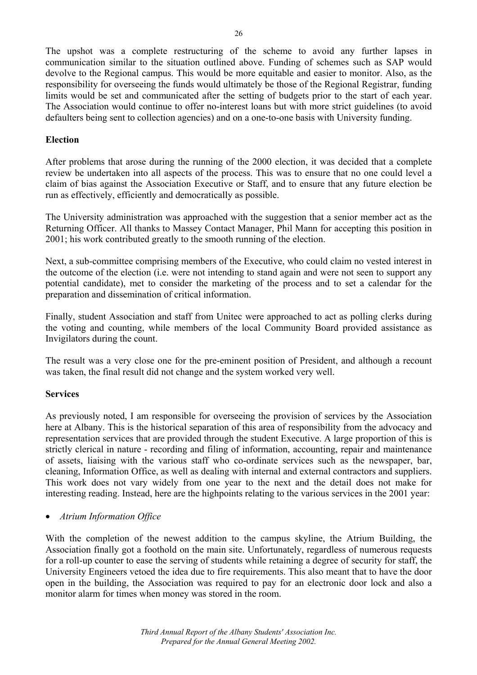The upshot was a complete restructuring of the scheme to avoid any further lapses in communication similar to the situation outlined above. Funding of schemes such as SAP would devolve to the Regional campus. This would be more equitable and easier to monitor. Also, as the responsibility for overseeing the funds would ultimately be those of the Regional Registrar, funding limits would be set and communicated after the setting of budgets prior to the start of each year. The Association would continue to offer no-interest loans but with more strict guidelines (to avoid defaulters being sent to collection agencies) and on a one-to-one basis with University funding.

#### **Election**

After problems that arose during the running of the 2000 election, it was decided that a complete review be undertaken into all aspects of the process. This was to ensure that no one could level a claim of bias against the Association Executive or Staff, and to ensure that any future election be run as effectively, efficiently and democratically as possible.

The University administration was approached with the suggestion that a senior member act as the Returning Officer. All thanks to Massey Contact Manager, Phil Mann for accepting this position in 2001; his work contributed greatly to the smooth running of the election.

Next, a sub-committee comprising members of the Executive, who could claim no vested interest in the outcome of the election (i.e. were not intending to stand again and were not seen to support any potential candidate), met to consider the marketing of the process and to set a calendar for the preparation and dissemination of critical information.

Finally, student Association and staff from Unitec were approached to act as polling clerks during the voting and counting, while members of the local Community Board provided assistance as Invigilators during the count.

The result was a very close one for the pre-eminent position of President, and although a recount was taken, the final result did not change and the system worked very well.

#### **Services**

As previously noted, I am responsible for overseeing the provision of services by the Association here at Albany. This is the historical separation of this area of responsibility from the advocacy and representation services that are provided through the student Executive. A large proportion of this is strictly clerical in nature - recording and filing of information, accounting, repair and maintenance of assets, liaising with the various staff who co-ordinate services such as the newspaper, bar, cleaning, Information Office, as well as dealing with internal and external contractors and suppliers. This work does not vary widely from one year to the next and the detail does not make for interesting reading. Instead, here are the highpoints relating to the various services in the 2001 year:

#### • *Atrium Information Office*

With the completion of the newest addition to the campus skyline, the Atrium Building, the Association finally got a foothold on the main site. Unfortunately, regardless of numerous requests for a roll-up counter to ease the serving of students while retaining a degree of security for staff, the University Engineers vetoed the idea due to fire requirements. This also meant that to have the door open in the building, the Association was required to pay for an electronic door lock and also a monitor alarm for times when money was stored in the room.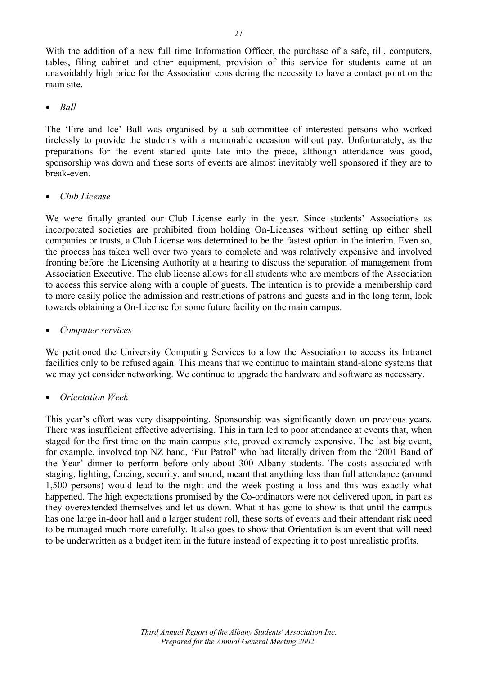With the addition of a new full time Information Officer, the purchase of a safe, till, computers, tables, filing cabinet and other equipment, provision of this service for students came at an unavoidably high price for the Association considering the necessity to have a contact point on the main site.

• *Ball*

The 'Fire and Ice' Ball was organised by a sub-committee of interested persons who worked tirelessly to provide the students with a memorable occasion without pay. Unfortunately, as the preparations for the event started quite late into the piece, although attendance was good, sponsorship was down and these sorts of events are almost inevitably well sponsored if they are to break-even.

#### • *Club License*

We were finally granted our Club License early in the year. Since students' Associations as incorporated societies are prohibited from holding On-Licenses without setting up either shell companies or trusts, a Club License was determined to be the fastest option in the interim. Even so, the process has taken well over two years to complete and was relatively expensive and involved fronting before the Licensing Authority at a hearing to discuss the separation of management from Association Executive. The club license allows for all students who are members of the Association to access this service along with a couple of guests. The intention is to provide a membership card to more easily police the admission and restrictions of patrons and guests and in the long term, look towards obtaining a On-License for some future facility on the main campus.

#### • *Computer services*

We petitioned the University Computing Services to allow the Association to access its Intranet facilities only to be refused again. This means that we continue to maintain stand-alone systems that we may yet consider networking. We continue to upgrade the hardware and software as necessary.

#### • *Orientation Week*

This year's effort was very disappointing. Sponsorship was significantly down on previous years. There was insufficient effective advertising. This in turn led to poor attendance at events that, when staged for the first time on the main campus site, proved extremely expensive. The last big event, for example, involved top NZ band, 'Fur Patrol' who had literally driven from the '2001 Band of the Year' dinner to perform before only about 300 Albany students. The costs associated with staging, lighting, fencing, security, and sound, meant that anything less than full attendance (around 1,500 persons) would lead to the night and the week posting a loss and this was exactly what happened. The high expectations promised by the Co-ordinators were not delivered upon, in part as they overextended themselves and let us down. What it has gone to show is that until the campus has one large in-door hall and a larger student roll, these sorts of events and their attendant risk need to be managed much more carefully. It also goes to show that Orientation is an event that will need to be underwritten as a budget item in the future instead of expecting it to post unrealistic profits.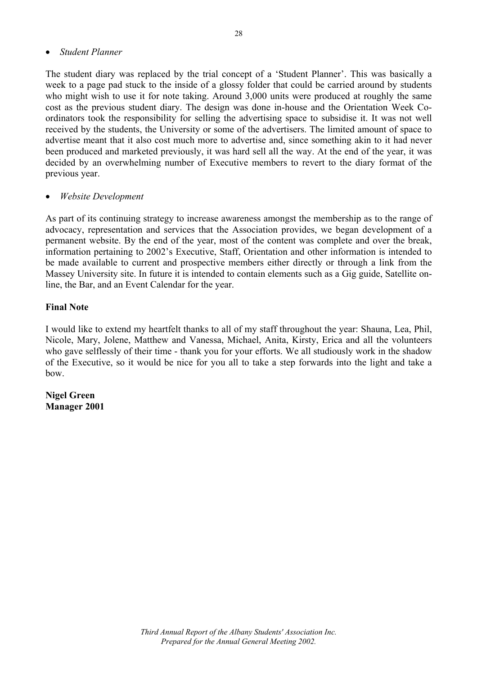#### • *Student Planner*

The student diary was replaced by the trial concept of a 'Student Planner'. This was basically a week to a page pad stuck to the inside of a glossy folder that could be carried around by students who might wish to use it for note taking. Around 3,000 units were produced at roughly the same cost as the previous student diary. The design was done in-house and the Orientation Week Coordinators took the responsibility for selling the advertising space to subsidise it. It was not well received by the students, the University or some of the advertisers. The limited amount of space to advertise meant that it also cost much more to advertise and, since something akin to it had never been produced and marketed previously, it was hard sell all the way. At the end of the year, it was decided by an overwhelming number of Executive members to revert to the diary format of the previous year.

#### • *Website Development*

As part of its continuing strategy to increase awareness amongst the membership as to the range of advocacy, representation and services that the Association provides, we began development of a permanent website. By the end of the year, most of the content was complete and over the break, information pertaining to 2002's Executive, Staff, Orientation and other information is intended to be made available to current and prospective members either directly or through a link from the Massey University site. In future it is intended to contain elements such as a Gig guide, Satellite online, the Bar, and an Event Calendar for the year.

#### **Final Note**

I would like to extend my heartfelt thanks to all of my staff throughout the year: Shauna, Lea, Phil, Nicole, Mary, Jolene, Matthew and Vanessa, Michael, Anita, Kirsty, Erica and all the volunteers who gave selflessly of their time - thank you for your efforts. We all studiously work in the shadow of the Executive, so it would be nice for you all to take a step forwards into the light and take a bow.

**Nigel Green Manager 2001**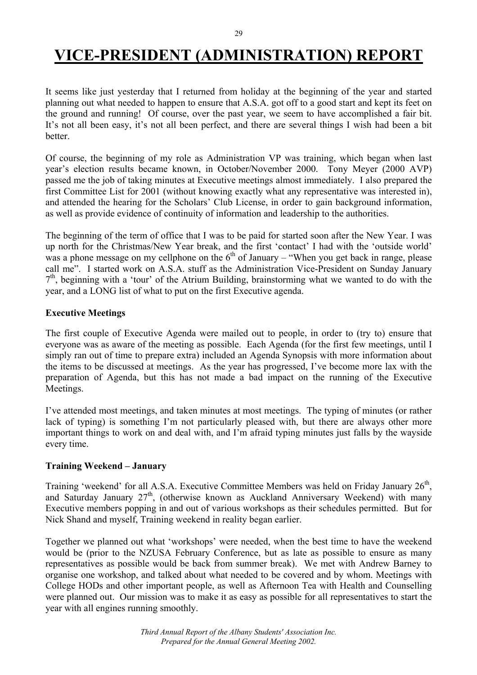# **VICE-PRESIDENT (ADMINISTRATION) REPORT**

It seems like just yesterday that I returned from holiday at the beginning of the year and started planning out what needed to happen to ensure that A.S.A. got off to a good start and kept its feet on the ground and running! Of course, over the past year, we seem to have accomplished a fair bit. It's not all been easy, it's not all been perfect, and there are several things I wish had been a bit **better** 

Of course, the beginning of my role as Administration VP was training, which began when last year's election results became known, in October/November 2000. Tony Meyer (2000 AVP) passed me the job of taking minutes at Executive meetings almost immediately. I also prepared the first Committee List for 2001 (without knowing exactly what any representative was interested in), and attended the hearing for the Scholars' Club License, in order to gain background information, as well as provide evidence of continuity of information and leadership to the authorities.

The beginning of the term of office that I was to be paid for started soon after the New Year. I was up north for the Christmas/New Year break, and the first 'contact' I had with the 'outside world' was a phone message on my cellphone on the  $6<sup>th</sup>$  of January – "When you get back in range, please call me". I started work on A.S.A. stuff as the Administration Vice-President on Sunday January  $7<sup>th</sup>$ , beginning with a 'tour' of the Atrium Building, brainstorming what we wanted to do with the year, and a LONG list of what to put on the first Executive agenda.

#### **Executive Meetings**

The first couple of Executive Agenda were mailed out to people, in order to (try to) ensure that everyone was as aware of the meeting as possible. Each Agenda (for the first few meetings, until I simply ran out of time to prepare extra) included an Agenda Synopsis with more information about the items to be discussed at meetings. As the year has progressed, I've become more lax with the preparation of Agenda, but this has not made a bad impact on the running of the Executive Meetings.

I've attended most meetings, and taken minutes at most meetings. The typing of minutes (or rather lack of typing) is something I'm not particularly pleased with, but there are always other more important things to work on and deal with, and I'm afraid typing minutes just falls by the wayside every time.

#### **Training Weekend – January**

Training 'weekend' for all A.S.A. Executive Committee Members was held on Friday January 26<sup>th</sup>. and Saturday January 27<sup>th</sup>, (otherwise known as Auckland Anniversary Weekend) with many Executive members popping in and out of various workshops as their schedules permitted. But for Nick Shand and myself, Training weekend in reality began earlier.

Together we planned out what 'workshops' were needed, when the best time to have the weekend would be (prior to the NZUSA February Conference, but as late as possible to ensure as many representatives as possible would be back from summer break). We met with Andrew Barney to organise one workshop, and talked about what needed to be covered and by whom. Meetings with College HODs and other important people, as well as Afternoon Tea with Health and Counselling were planned out. Our mission was to make it as easy as possible for all representatives to start the year with all engines running smoothly.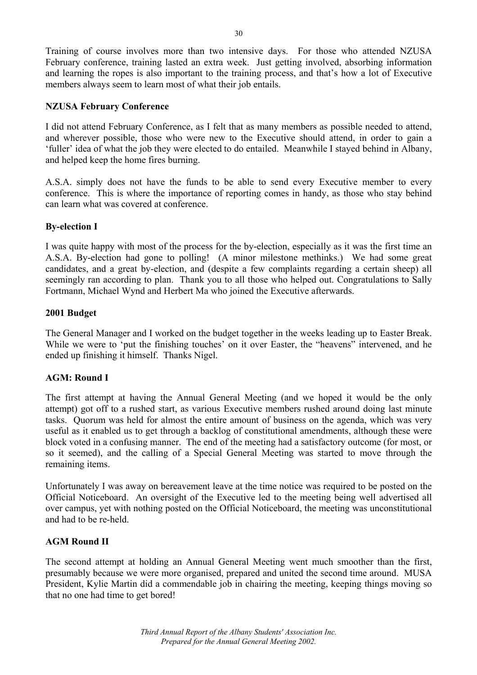Training of course involves more than two intensive days. For those who attended NZUSA February conference, training lasted an extra week. Just getting involved, absorbing information and learning the ropes is also important to the training process, and that's how a lot of Executive members always seem to learn most of what their job entails.

#### **NZUSA February Conference**

I did not attend February Conference, as I felt that as many members as possible needed to attend, and wherever possible, those who were new to the Executive should attend, in order to gain a 'fuller' idea of what the job they were elected to do entailed. Meanwhile I stayed behind in Albany, and helped keep the home fires burning.

A.S.A. simply does not have the funds to be able to send every Executive member to every conference. This is where the importance of reporting comes in handy, as those who stay behind can learn what was covered at conference.

#### **By-election I**

I was quite happy with most of the process for the by-election, especially as it was the first time an A.S.A. By-election had gone to polling! (A minor milestone methinks.) We had some great candidates, and a great by-election, and (despite a few complaints regarding a certain sheep) all seemingly ran according to plan. Thank you to all those who helped out. Congratulations to Sally Fortmann, Michael Wynd and Herbert Ma who joined the Executive afterwards.

#### **2001 Budget**

The General Manager and I worked on the budget together in the weeks leading up to Easter Break. While we were to 'put the finishing touches' on it over Easter, the "heavens" intervened, and he ended up finishing it himself. Thanks Nigel.

#### **AGM: Round I**

The first attempt at having the Annual General Meeting (and we hoped it would be the only attempt) got off to a rushed start, as various Executive members rushed around doing last minute tasks. Quorum was held for almost the entire amount of business on the agenda, which was very useful as it enabled us to get through a backlog of constitutional amendments, although these were block voted in a confusing manner. The end of the meeting had a satisfactory outcome (for most, or so it seemed), and the calling of a Special General Meeting was started to move through the remaining items.

Unfortunately I was away on bereavement leave at the time notice was required to be posted on the Official Noticeboard. An oversight of the Executive led to the meeting being well advertised all over campus, yet with nothing posted on the Official Noticeboard, the meeting was unconstitutional and had to be re-held.

#### **AGM Round II**

The second attempt at holding an Annual General Meeting went much smoother than the first, presumably because we were more organised, prepared and united the second time around. MUSA President, Kylie Martin did a commendable job in chairing the meeting, keeping things moving so that no one had time to get bored!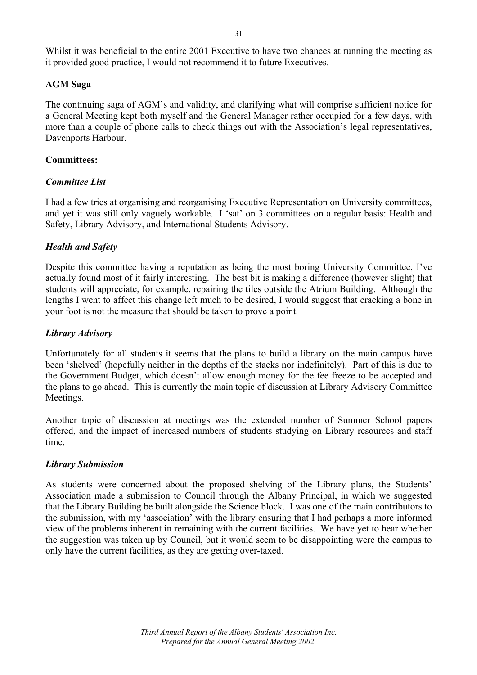Whilst it was beneficial to the entire 2001 Executive to have two chances at running the meeting as it provided good practice, I would not recommend it to future Executives.

#### **AGM Saga**

The continuing saga of AGM's and validity, and clarifying what will comprise sufficient notice for a General Meeting kept both myself and the General Manager rather occupied for a few days, with more than a couple of phone calls to check things out with the Association's legal representatives, Davenports Harbour.

#### **Committees:**

#### *Committee List*

I had a few tries at organising and reorganising Executive Representation on University committees, and yet it was still only vaguely workable. I 'sat' on 3 committees on a regular basis: Health and Safety, Library Advisory, and International Students Advisory.

#### *Health and Safety*

Despite this committee having a reputation as being the most boring University Committee, I've actually found most of it fairly interesting. The best bit is making a difference (however slight) that students will appreciate, for example, repairing the tiles outside the Atrium Building. Although the lengths I went to affect this change left much to be desired, I would suggest that cracking a bone in your foot is not the measure that should be taken to prove a point.

#### *Library Advisory*

Unfortunately for all students it seems that the plans to build a library on the main campus have been 'shelved' (hopefully neither in the depths of the stacks nor indefinitely). Part of this is due to the Government Budget, which doesn't allow enough money for the fee freeze to be accepted and the plans to go ahead. This is currently the main topic of discussion at Library Advisory Committee Meetings.

Another topic of discussion at meetings was the extended number of Summer School papers offered, and the impact of increased numbers of students studying on Library resources and staff time.

#### *Library Submission*

As students were concerned about the proposed shelving of the Library plans, the Students' Association made a submission to Council through the Albany Principal, in which we suggested that the Library Building be built alongside the Science block. I was one of the main contributors to the submission, with my 'association' with the library ensuring that I had perhaps a more informed view of the problems inherent in remaining with the current facilities. We have yet to hear whether the suggestion was taken up by Council, but it would seem to be disappointing were the campus to only have the current facilities, as they are getting over-taxed.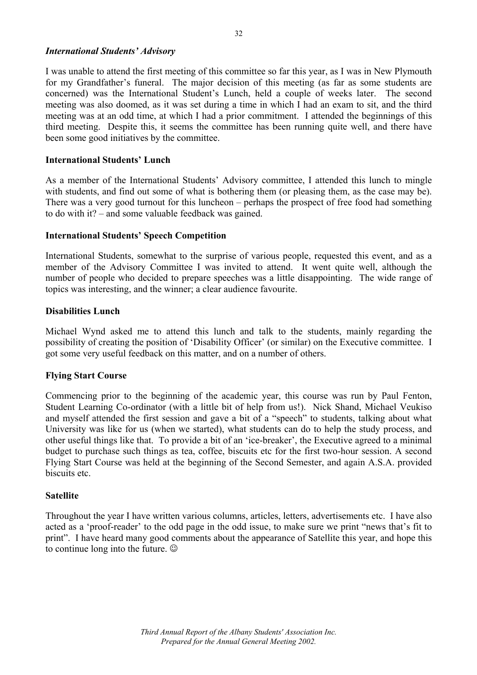#### *International Students' Advisory*

I was unable to attend the first meeting of this committee so far this year, as I was in New Plymouth for my Grandfather's funeral. The major decision of this meeting (as far as some students are concerned) was the International Student's Lunch, held a couple of weeks later. The second meeting was also doomed, as it was set during a time in which I had an exam to sit, and the third meeting was at an odd time, at which I had a prior commitment. I attended the beginnings of this third meeting. Despite this, it seems the committee has been running quite well, and there have been some good initiatives by the committee.

#### **International Students' Lunch**

As a member of the International Students' Advisory committee, I attended this lunch to mingle with students, and find out some of what is bothering them (or pleasing them, as the case may be). There was a very good turnout for this luncheon – perhaps the prospect of free food had something to do with it? – and some valuable feedback was gained.

#### **International Students' Speech Competition**

International Students, somewhat to the surprise of various people, requested this event, and as a member of the Advisory Committee I was invited to attend. It went quite well, although the number of people who decided to prepare speeches was a little disappointing. The wide range of topics was interesting, and the winner; a clear audience favourite.

#### **Disabilities Lunch**

Michael Wynd asked me to attend this lunch and talk to the students, mainly regarding the possibility of creating the position of 'Disability Officer' (or similar) on the Executive committee. I got some very useful feedback on this matter, and on a number of others.

#### **Flying Start Course**

Commencing prior to the beginning of the academic year, this course was run by Paul Fenton, Student Learning Co-ordinator (with a little bit of help from us!). Nick Shand, Michael Veukiso and myself attended the first session and gave a bit of a "speech" to students, talking about what University was like for us (when we started), what students can do to help the study process, and other useful things like that. To provide a bit of an 'ice-breaker', the Executive agreed to a minimal budget to purchase such things as tea, coffee, biscuits etc for the first two-hour session. A second Flying Start Course was held at the beginning of the Second Semester, and again A.S.A. provided biscuits etc.

#### **Satellite**

Throughout the year I have written various columns, articles, letters, advertisements etc. I have also acted as a 'proof-reader' to the odd page in the odd issue, to make sure we print "news that's fit to print". I have heard many good comments about the appearance of Satellite this year, and hope this to continue long into the future.  $\odot$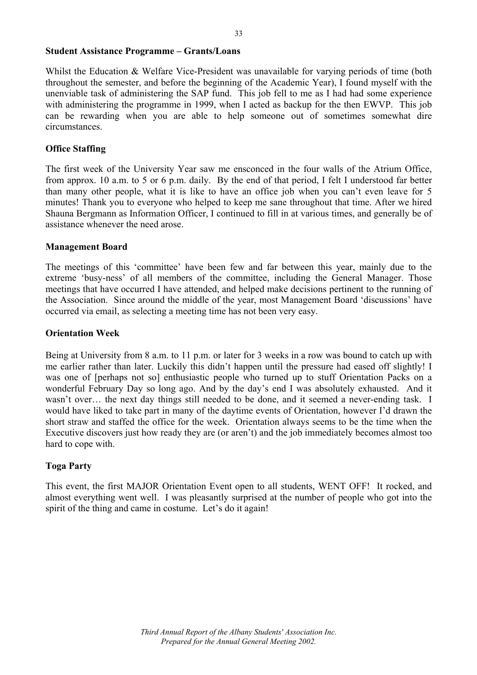#### **Student Assistance Programme – Grants/Loans**

Whilst the Education & Welfare Vice-President was unavailable for varying periods of time (both throughout the semester, and before the beginning of the Academic Year), I found myself with the unenviable task of administering the SAP fund. This job fell to me as I had had some experience with administering the programme in 1999, when I acted as backup for the then EWVP. This job can be rewarding when you are able to help someone out of sometimes somewhat dire circumstances.

#### **Office Staffing**

The first week of the University Year saw me ensconced in the four walls of the Atrium Office, from approx. 10 a.m. to 5 or 6 p.m. daily. By the end of that period, I felt I understood far better than many other people, what it is like to have an office job when you can't even leave for 5 minutes! Thank you to everyone who helped to keep me sane throughout that time. After we hired Shauna Bergmann as Information Officer, I continued to fill in at various times, and generally be of assistance whenever the need arose.

#### **Management Board**

The meetings of this 'committee' have been few and far between this year, mainly due to the extreme 'busy-ness' of all members of the committee, including the General Manager. Those meetings that have occurred I have attended, and helped make decisions pertinent to the running of the Association. Since around the middle of the year, most Management Board 'discussions' have occurred via email, as selecting a meeting time has not been very easy.

#### **Orientation Week**

Being at University from 8 a.m. to 11 p.m. or later for 3 weeks in a row was bound to catch up with me earlier rather than later. Luckily this didn't happen until the pressure had eased off slightly! I was one of [perhaps not so] enthusiastic people who turned up to stuff Orientation Packs on a wonderful February Day so long ago. And by the day's end I was absolutely exhausted. And it wasn't over… the next day things still needed to be done, and it seemed a never-ending task. I would have liked to take part in many of the daytime events of Orientation, however I'd drawn the short straw and staffed the office for the week. Orientation always seems to be the time when the Executive discovers just how ready they are (or aren't) and the job immediately becomes almost too hard to cope with.

#### **Toga Party**

This event, the first MAJOR Orientation Event open to all students, WENT OFF! It rocked, and almost everything went well. I was pleasantly surprised at the number of people who got into the spirit of the thing and came in costume. Let's do it again!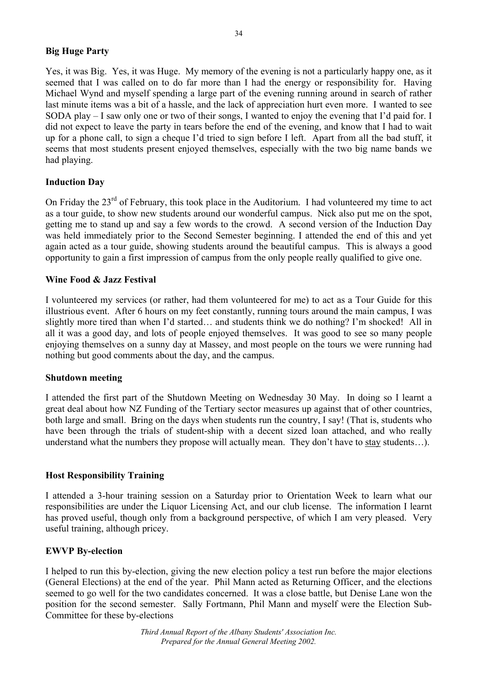#### **Big Huge Party**

Yes, it was Big. Yes, it was Huge. My memory of the evening is not a particularly happy one, as it seemed that I was called on to do far more than I had the energy or responsibility for. Having Michael Wynd and myself spending a large part of the evening running around in search of rather last minute items was a bit of a hassle, and the lack of appreciation hurt even more. I wanted to see SODA play – I saw only one or two of their songs, I wanted to enjoy the evening that I'd paid for. I did not expect to leave the party in tears before the end of the evening, and know that I had to wait up for a phone call, to sign a cheque I'd tried to sign before I left. Apart from all the bad stuff, it seems that most students present enjoyed themselves, especially with the two big name bands we had playing.

#### **Induction Day**

On Friday the 23<sup>rd</sup> of February, this took place in the Auditorium. I had volunteered my time to act as a tour guide, to show new students around our wonderful campus. Nick also put me on the spot, getting me to stand up and say a few words to the crowd. A second version of the Induction Day was held immediately prior to the Second Semester beginning. I attended the end of this and yet again acted as a tour guide, showing students around the beautiful campus. This is always a good opportunity to gain a first impression of campus from the only people really qualified to give one.

#### **Wine Food & Jazz Festival**

I volunteered my services (or rather, had them volunteered for me) to act as a Tour Guide for this illustrious event. After 6 hours on my feet constantly, running tours around the main campus, I was slightly more tired than when I'd started… and students think we do nothing? I'm shocked! All in all it was a good day, and lots of people enjoyed themselves. It was good to see so many people enjoying themselves on a sunny day at Massey, and most people on the tours we were running had nothing but good comments about the day, and the campus.

#### **Shutdown meeting**

I attended the first part of the Shutdown Meeting on Wednesday 30 May. In doing so I learnt a great deal about how NZ Funding of the Tertiary sector measures up against that of other countries, both large and small. Bring on the days when students run the country, I say! (That is, students who have been through the trials of student-ship with a decent sized loan attached, and who really understand what the numbers they propose will actually mean. They don't have to stay students…).

#### **Host Responsibility Training**

I attended a 3-hour training session on a Saturday prior to Orientation Week to learn what our responsibilities are under the Liquor Licensing Act, and our club license. The information I learnt has proved useful, though only from a background perspective, of which I am very pleased. Very useful training, although pricey.

#### **EWVP By-election**

I helped to run this by-election, giving the new election policy a test run before the major elections (General Elections) at the end of the year. Phil Mann acted as Returning Officer, and the elections seemed to go well for the two candidates concerned. It was a close battle, but Denise Lane won the position for the second semester. Sally Fortmann, Phil Mann and myself were the Election Sub-Committee for these by-elections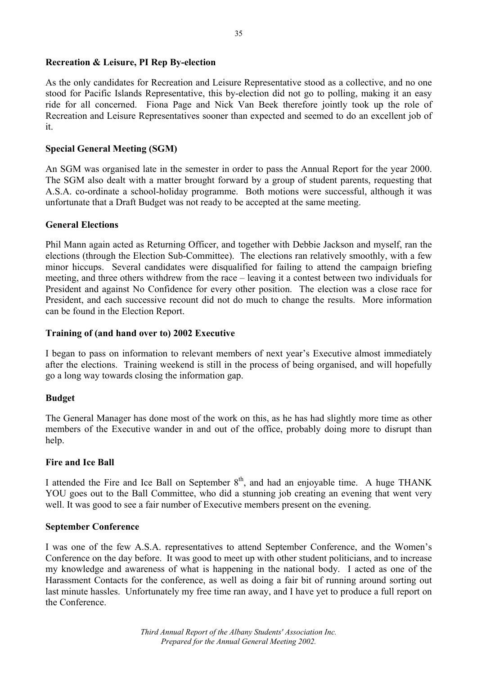#### **Recreation & Leisure, PI Rep By-election**

As the only candidates for Recreation and Leisure Representative stood as a collective, and no one stood for Pacific Islands Representative, this by-election did not go to polling, making it an easy ride for all concerned. Fiona Page and Nick Van Beek therefore jointly took up the role of Recreation and Leisure Representatives sooner than expected and seemed to do an excellent job of it.

#### **Special General Meeting (SGM)**

An SGM was organised late in the semester in order to pass the Annual Report for the year 2000. The SGM also dealt with a matter brought forward by a group of student parents, requesting that A.S.A. co-ordinate a school-holiday programme. Both motions were successful, although it was unfortunate that a Draft Budget was not ready to be accepted at the same meeting.

#### **General Elections**

Phil Mann again acted as Returning Officer, and together with Debbie Jackson and myself, ran the elections (through the Election Sub-Committee). The elections ran relatively smoothly, with a few minor hiccups. Several candidates were disqualified for failing to attend the campaign briefing meeting, and three others withdrew from the race – leaving it a contest between two individuals for President and against No Confidence for every other position. The election was a close race for President, and each successive recount did not do much to change the results. More information can be found in the Election Report.

#### **Training of (and hand over to) 2002 Executive**

I began to pass on information to relevant members of next year's Executive almost immediately after the elections. Training weekend is still in the process of being organised, and will hopefully go a long way towards closing the information gap.

#### **Budget**

The General Manager has done most of the work on this, as he has had slightly more time as other members of the Executive wander in and out of the office, probably doing more to disrupt than help.

#### **Fire and Ice Ball**

I attended the Fire and Ice Ball on September  $8<sup>th</sup>$ , and had an enjoyable time. A huge THANK YOU goes out to the Ball Committee, who did a stunning job creating an evening that went very well. It was good to see a fair number of Executive members present on the evening.

#### **September Conference**

I was one of the few A.S.A. representatives to attend September Conference, and the Women's Conference on the day before. It was good to meet up with other student politicians, and to increase my knowledge and awareness of what is happening in the national body. I acted as one of the Harassment Contacts for the conference, as well as doing a fair bit of running around sorting out last minute hassles. Unfortunately my free time ran away, and I have yet to produce a full report on the Conference.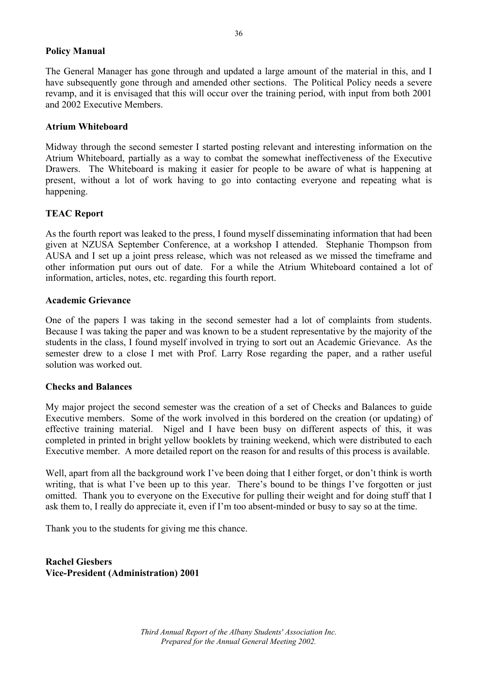#### **Policy Manual**

The General Manager has gone through and updated a large amount of the material in this, and I have subsequently gone through and amended other sections. The Political Policy needs a severe revamp, and it is envisaged that this will occur over the training period, with input from both 2001 and 2002 Executive Members.

#### **Atrium Whiteboard**

Midway through the second semester I started posting relevant and interesting information on the Atrium Whiteboard, partially as a way to combat the somewhat ineffectiveness of the Executive Drawers. The Whiteboard is making it easier for people to be aware of what is happening at present, without a lot of work having to go into contacting everyone and repeating what is happening.

#### **TEAC Report**

As the fourth report was leaked to the press, I found myself disseminating information that had been given at NZUSA September Conference, at a workshop I attended. Stephanie Thompson from AUSA and I set up a joint press release, which was not released as we missed the timeframe and other information put ours out of date. For a while the Atrium Whiteboard contained a lot of information, articles, notes, etc. regarding this fourth report.

#### **Academic Grievance**

One of the papers I was taking in the second semester had a lot of complaints from students. Because I was taking the paper and was known to be a student representative by the majority of the students in the class, I found myself involved in trying to sort out an Academic Grievance. As the semester drew to a close I met with Prof. Larry Rose regarding the paper, and a rather useful solution was worked out.

#### **Checks and Balances**

My major project the second semester was the creation of a set of Checks and Balances to guide Executive members. Some of the work involved in this bordered on the creation (or updating) of effective training material. Nigel and I have been busy on different aspects of this, it was completed in printed in bright yellow booklets by training weekend, which were distributed to each Executive member. A more detailed report on the reason for and results of this process is available.

Well, apart from all the background work I've been doing that I either forget, or don't think is worth writing, that is what I've been up to this year. There's bound to be things I've forgotten or just omitted. Thank you to everyone on the Executive for pulling their weight and for doing stuff that I ask them to, I really do appreciate it, even if I'm too absent-minded or busy to say so at the time.

Thank you to the students for giving me this chance.

**Rachel Giesbers Vice-President (Administration) 2001**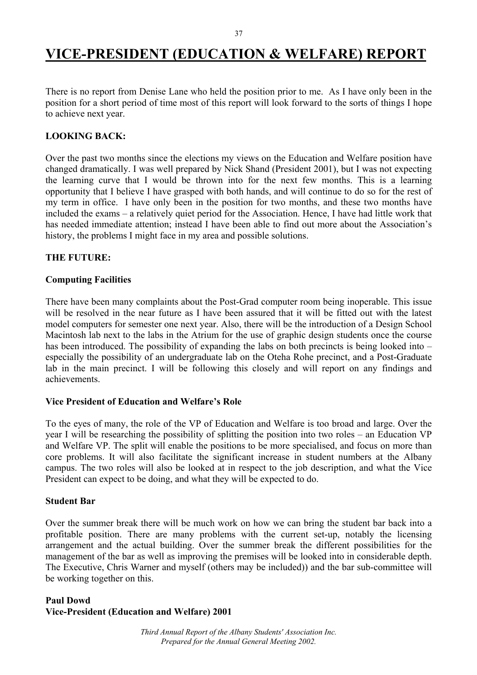### **VICE-PRESIDENT (EDUCATION & WELFARE) REPORT**

There is no report from Denise Lane who held the position prior to me. As I have only been in the position for a short period of time most of this report will look forward to the sorts of things I hope to achieve next year.

#### **LOOKING BACK:**

Over the past two months since the elections my views on the Education and Welfare position have changed dramatically. I was well prepared by Nick Shand (President 2001), but I was not expecting the learning curve that I would be thrown into for the next few months. This is a learning opportunity that I believe I have grasped with both hands, and will continue to do so for the rest of my term in office. I have only been in the position for two months, and these two months have included the exams – a relatively quiet period for the Association. Hence, I have had little work that has needed immediate attention; instead I have been able to find out more about the Association's history, the problems I might face in my area and possible solutions.

#### **THE FUTURE:**

#### **Computing Facilities**

There have been many complaints about the Post-Grad computer room being inoperable. This issue will be resolved in the near future as I have been assured that it will be fitted out with the latest model computers for semester one next year. Also, there will be the introduction of a Design School Macintosh lab next to the labs in the Atrium for the use of graphic design students once the course has been introduced. The possibility of expanding the labs on both precincts is being looked into – especially the possibility of an undergraduate lab on the Oteha Rohe precinct, and a Post-Graduate lab in the main precinct. I will be following this closely and will report on any findings and achievements.

#### **Vice President of Education and Welfare's Role**

To the eyes of many, the role of the VP of Education and Welfare is too broad and large. Over the year I will be researching the possibility of splitting the position into two roles – an Education VP and Welfare VP. The split will enable the positions to be more specialised, and focus on more than core problems. It will also facilitate the significant increase in student numbers at the Albany campus. The two roles will also be looked at in respect to the job description, and what the Vice President can expect to be doing, and what they will be expected to do.

#### **Student Bar**

Over the summer break there will be much work on how we can bring the student bar back into a profitable position. There are many problems with the current set-up, notably the licensing arrangement and the actual building. Over the summer break the different possibilities for the management of the bar as well as improving the premises will be looked into in considerable depth. The Executive, Chris Warner and myself (others may be included)) and the bar sub-committee will be working together on this.

#### **Paul Dowd Vice-President (Education and Welfare) 2001**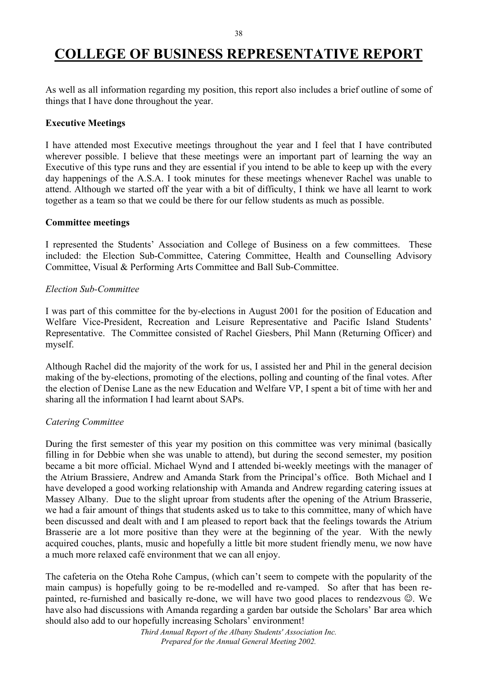# **COLLEGE OF BUSINESS REPRESENTATIVE REPORT**

As well as all information regarding my position, this report also includes a brief outline of some of things that I have done throughout the year.

#### **Executive Meetings**

I have attended most Executive meetings throughout the year and I feel that I have contributed wherever possible. I believe that these meetings were an important part of learning the way an Executive of this type runs and they are essential if you intend to be able to keep up with the every day happenings of the A.S.A. I took minutes for these meetings whenever Rachel was unable to attend. Although we started off the year with a bit of difficulty, I think we have all learnt to work together as a team so that we could be there for our fellow students as much as possible.

#### **Committee meetings**

I represented the Students' Association and College of Business on a few committees. These included: the Election Sub-Committee, Catering Committee, Health and Counselling Advisory Committee, Visual & Performing Arts Committee and Ball Sub-Committee.

#### *Election Sub-Committee*

I was part of this committee for the by-elections in August 2001 for the position of Education and Welfare Vice-President, Recreation and Leisure Representative and Pacific Island Students' Representative. The Committee consisted of Rachel Giesbers, Phil Mann (Returning Officer) and myself.

Although Rachel did the majority of the work for us, I assisted her and Phil in the general decision making of the by-elections, promoting of the elections, polling and counting of the final votes. After the election of Denise Lane as the new Education and Welfare VP, I spent a bit of time with her and sharing all the information I had learnt about SAPs.

#### *Catering Committee*

During the first semester of this year my position on this committee was very minimal (basically filling in for Debbie when she was unable to attend), but during the second semester, my position became a bit more official. Michael Wynd and I attended bi-weekly meetings with the manager of the Atrium Brassiere, Andrew and Amanda Stark from the Principal's office. Both Michael and I have developed a good working relationship with Amanda and Andrew regarding catering issues at Massey Albany. Due to the slight uproar from students after the opening of the Atrium Brasserie, we had a fair amount of things that students asked us to take to this committee, many of which have been discussed and dealt with and I am pleased to report back that the feelings towards the Atrium Brasserie are a lot more positive than they were at the beginning of the year. With the newly acquired couches, plants, music and hopefully a little bit more student friendly menu, we now have a much more relaxed café environment that we can all enjoy.

The cafeteria on the Oteha Rohe Campus, (which can't seem to compete with the popularity of the main campus) is hopefully going to be re-modelled and re-vamped. So after that has been repainted, re-furnished and basically re-done, we will have two good places to rendezvous ☺. We have also had discussions with Amanda regarding a garden bar outside the Scholars' Bar area which should also add to our hopefully increasing Scholars' environment!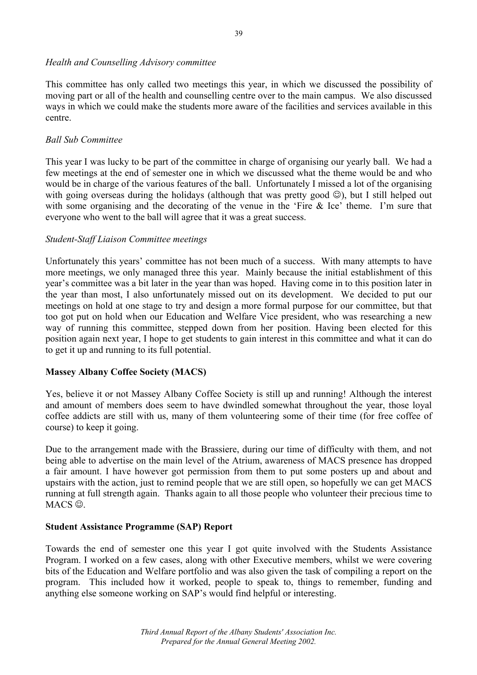#### *Health and Counselling Advisory committee*

This committee has only called two meetings this year, in which we discussed the possibility of moving part or all of the health and counselling centre over to the main campus. We also discussed ways in which we could make the students more aware of the facilities and services available in this centre.

#### *Ball Sub Committee*

This year I was lucky to be part of the committee in charge of organising our yearly ball. We had a few meetings at the end of semester one in which we discussed what the theme would be and who would be in charge of the various features of the ball. Unfortunately I missed a lot of the organising with going overseas during the holidays (although that was pretty good  $\circledcirc$ ), but I still helped out with some organising and the decorating of the venue in the 'Fire & Ice' theme. I'm sure that everyone who went to the ball will agree that it was a great success.

#### *Student-Staff Liaison Committee meetings*

Unfortunately this years' committee has not been much of a success. With many attempts to have more meetings, we only managed three this year. Mainly because the initial establishment of this year's committee was a bit later in the year than was hoped. Having come in to this position later in the year than most, I also unfortunately missed out on its development. We decided to put our meetings on hold at one stage to try and design a more formal purpose for our committee, but that too got put on hold when our Education and Welfare Vice president, who was researching a new way of running this committee, stepped down from her position. Having been elected for this position again next year, I hope to get students to gain interest in this committee and what it can do to get it up and running to its full potential.

#### **Massey Albany Coffee Society (MACS)**

Yes, believe it or not Massey Albany Coffee Society is still up and running! Although the interest and amount of members does seem to have dwindled somewhat throughout the year, those loyal coffee addicts are still with us, many of them volunteering some of their time (for free coffee of course) to keep it going.

Due to the arrangement made with the Brassiere, during our time of difficulty with them, and not being able to advertise on the main level of the Atrium, awareness of MACS presence has dropped a fair amount. I have however got permission from them to put some posters up and about and upstairs with the action, just to remind people that we are still open, so hopefully we can get MACS running at full strength again. Thanks again to all those people who volunteer their precious time to MACS<sup> $\odot$ </sup>.

#### **Student Assistance Programme (SAP) Report**

Towards the end of semester one this year I got quite involved with the Students Assistance Program. I worked on a few cases, along with other Executive members, whilst we were covering bits of the Education and Welfare portfolio and was also given the task of compiling a report on the program. This included how it worked, people to speak to, things to remember, funding and anything else someone working on SAP's would find helpful or interesting.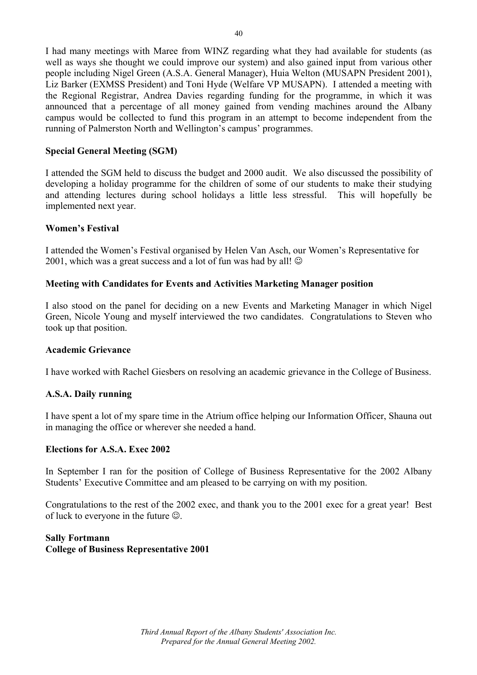I had many meetings with Maree from WINZ regarding what they had available for students (as well as ways she thought we could improve our system) and also gained input from various other people including Nigel Green (A.S.A. General Manager), Huia Welton (MUSAPN President 2001), Liz Barker (EXMSS President) and Toni Hyde (Welfare VP MUSAPN). I attended a meeting with the Regional Registrar, Andrea Davies regarding funding for the programme, in which it was announced that a percentage of all money gained from vending machines around the Albany campus would be collected to fund this program in an attempt to become independent from the running of Palmerston North and Wellington's campus' programmes.

#### **Special General Meeting (SGM)**

I attended the SGM held to discuss the budget and 2000 audit. We also discussed the possibility of developing a holiday programme for the children of some of our students to make their studying and attending lectures during school holidays a little less stressful. This will hopefully be implemented next year.

#### **Women's Festival**

I attended the Women's Festival organised by Helen Van Asch, our Women's Representative for 2001, which was a great success and a lot of fun was had by all!  $\odot$ 

#### **Meeting with Candidates for Events and Activities Marketing Manager position**

I also stood on the panel for deciding on a new Events and Marketing Manager in which Nigel Green, Nicole Young and myself interviewed the two candidates. Congratulations to Steven who took up that position.

#### **Academic Grievance**

I have worked with Rachel Giesbers on resolving an academic grievance in the College of Business.

#### **A.S.A. Daily running**

I have spent a lot of my spare time in the Atrium office helping our Information Officer, Shauna out in managing the office or wherever she needed a hand.

#### **Elections for A.S.A. Exec 2002**

In September I ran for the position of College of Business Representative for the 2002 Albany Students' Executive Committee and am pleased to be carrying on with my position.

Congratulations to the rest of the 2002 exec, and thank you to the 2001 exec for a great year! Best of luck to everyone in the future ☺.

#### **Sally Fortmann College of Business Representative 2001**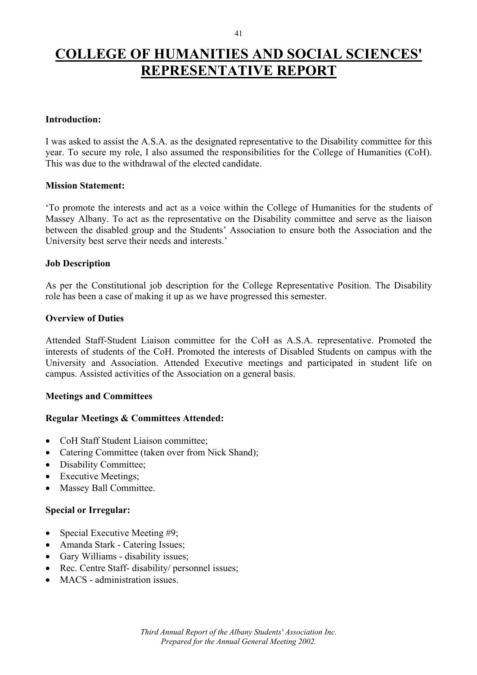# **COLLEGE OF HUMANITIES AND SOCIAL SCIENCES' REPRESENTATIVE REPORT**

#### **Introduction:**

I was asked to assist the A.S.A. as the designated representative to the Disability committee for this year. To secure my role, I also assumed the responsibilities for the College of Humanities (CoH). This was due to the withdrawal of the elected candidate.

#### **Mission Statement:**

'To promote the interests and act as a voice within the College of Humanities for the students of Massey Albany. To act as the representative on the Disability committee and serve as the liaison between the disabled group and the Students' Association to ensure both the Association and the University best serve their needs and interests.'

#### **Job Description**

As per the Constitutional job description for the College Representative Position. The Disability role has been a case of making it up as we have progressed this semester.

#### **Overview of Duties**

Attended Staff-Student Liaison committee for the CoH as A.S.A. representative. Promoted the interests of students of the CoH. Promoted the interests of Disabled Students on campus with the University and Association. Attended Executive meetings and participated in student life on campus. Assisted activities of the Association on a general basis.

#### **Meetings and Committees**

#### **Regular Meetings & Committees Attended:**

- CoH Staff Student Liaison committee;
- Catering Committee (taken over from Nick Shand);
- Disability Committee;
- Executive Meetings;
- Massey Ball Committee.

#### **Special or Irregular:**

- Special Executive Meeting #9;
- Amanda Stark Catering Issues;
- Gary Williams disability issues;
- Rec. Centre Staff- disability/ personnel issues;
- MACS administration issues.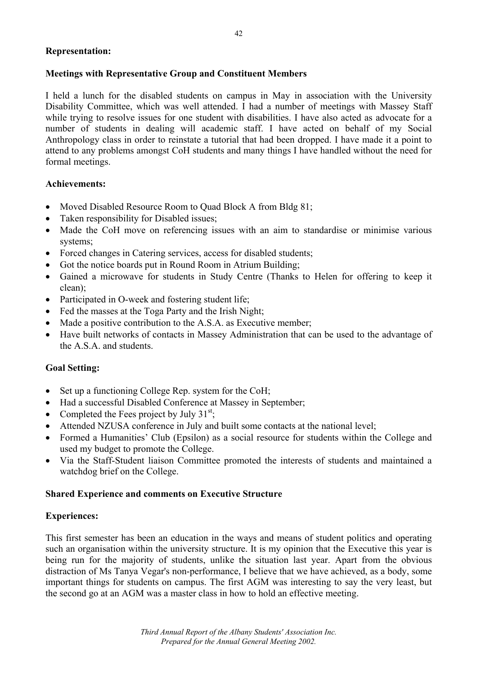#### **Representation:**

#### **Meetings with Representative Group and Constituent Members**

I held a lunch for the disabled students on campus in May in association with the University Disability Committee, which was well attended. I had a number of meetings with Massey Staff while trying to resolve issues for one student with disabilities. I have also acted as advocate for a number of students in dealing will academic staff. I have acted on behalf of my Social Anthropology class in order to reinstate a tutorial that had been dropped. I have made it a point to attend to any problems amongst CoH students and many things I have handled without the need for formal meetings.

#### **Achievements:**

- Moved Disabled Resource Room to Ouad Block A from Bldg 81;
- Taken responsibility for Disabled issues;
- Made the CoH move on referencing issues with an aim to standardise or minimise various systems;
- Forced changes in Catering services, access for disabled students;
- Got the notice boards put in Round Room in Atrium Building;
- Gained a microwave for students in Study Centre (Thanks to Helen for offering to keep it clean);
- Participated in O-week and fostering student life:
- Fed the masses at the Toga Party and the Irish Night;
- Made a positive contribution to the A.S.A. as Executive member;
- Have built networks of contacts in Massey Administration that can be used to the advantage of the A.S.A. and students.

#### **Goal Setting:**

- Set up a functioning College Rep. system for the CoH;
- Had a successful Disabled Conference at Massey in September;
- Completed the Fees project by July  $31<sup>st</sup>$ .
- Attended NZUSA conference in July and built some contacts at the national level;
- Formed a Humanities' Club (Epsilon) as a social resource for students within the College and used my budget to promote the College.
- Via the Staff-Student liaison Committee promoted the interests of students and maintained a watchdog brief on the College.

#### **Shared Experience and comments on Executive Structure**

#### **Experiences:**

This first semester has been an education in the ways and means of student politics and operating such an organisation within the university structure. It is my opinion that the Executive this year is being run for the majority of students, unlike the situation last year. Apart from the obvious distraction of Ms Tanya Vegar's non-performance, I believe that we have achieved, as a body, some important things for students on campus. The first AGM was interesting to say the very least, but the second go at an AGM was a master class in how to hold an effective meeting.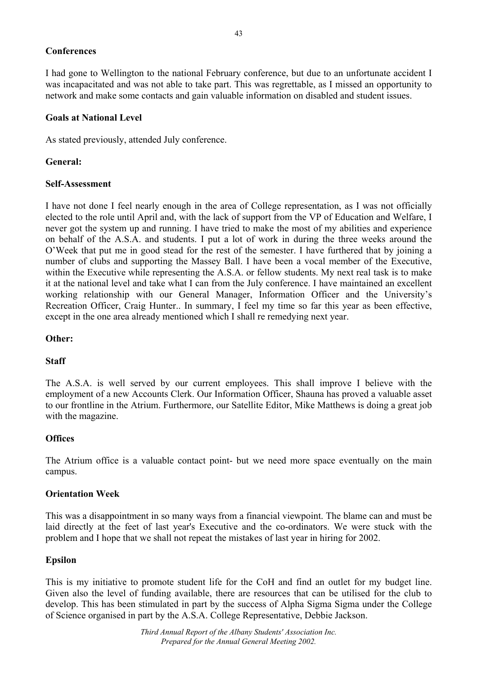#### **Conferences**

I had gone to Wellington to the national February conference, but due to an unfortunate accident I was incapacitated and was not able to take part. This was regrettable, as I missed an opportunity to network and make some contacts and gain valuable information on disabled and student issues.

#### **Goals at National Level**

As stated previously, attended July conference.

#### **General:**

#### **Self-Assessment**

I have not done I feel nearly enough in the area of College representation, as I was not officially elected to the role until April and, with the lack of support from the VP of Education and Welfare, I never got the system up and running. I have tried to make the most of my abilities and experience on behalf of the A.S.A. and students. I put a lot of work in during the three weeks around the O'Week that put me in good stead for the rest of the semester. I have furthered that by joining a number of clubs and supporting the Massey Ball. I have been a vocal member of the Executive, within the Executive while representing the A.S.A. or fellow students. My next real task is to make it at the national level and take what I can from the July conference. I have maintained an excellent working relationship with our General Manager, Information Officer and the University's Recreation Officer, Craig Hunter.. In summary, I feel my time so far this year as been effective, except in the one area already mentioned which I shall re remedying next year.

#### **Other:**

#### **Staff**

The A.S.A. is well served by our current employees. This shall improve I believe with the employment of a new Accounts Clerk. Our Information Officer, Shauna has proved a valuable asset to our frontline in the Atrium. Furthermore, our Satellite Editor, Mike Matthews is doing a great job with the magazine.

#### **Offices**

The Atrium office is a valuable contact point- but we need more space eventually on the main campus.

#### **Orientation Week**

This was a disappointment in so many ways from a financial viewpoint. The blame can and must be laid directly at the feet of last year's Executive and the co-ordinators. We were stuck with the problem and I hope that we shall not repeat the mistakes of last year in hiring for 2002.

#### **Epsilon**

This is my initiative to promote student life for the CoH and find an outlet for my budget line. Given also the level of funding available, there are resources that can be utilised for the club to develop. This has been stimulated in part by the success of Alpha Sigma Sigma under the College of Science organised in part by the A.S.A. College Representative, Debbie Jackson.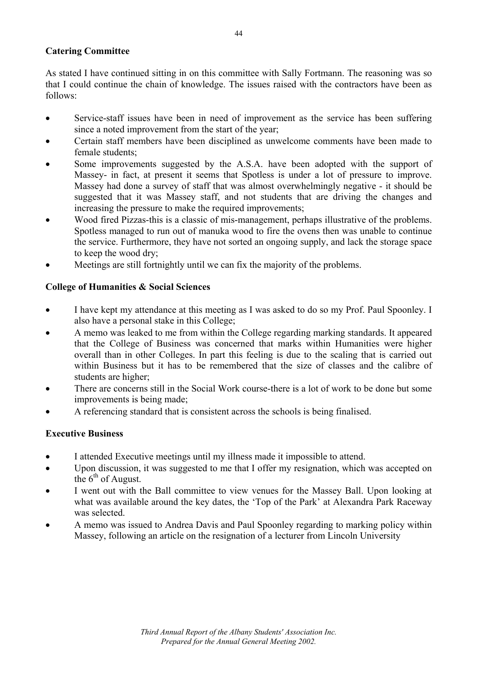#### **Catering Committee**

As stated I have continued sitting in on this committee with Sally Fortmann. The reasoning was so that I could continue the chain of knowledge. The issues raised with the contractors have been as follows:

- Service-staff issues have been in need of improvement as the service has been suffering since a noted improvement from the start of the year;
- Certain staff members have been disciplined as unwelcome comments have been made to female students;
- Some improvements suggested by the A.S.A. have been adopted with the support of Massey- in fact, at present it seems that Spotless is under a lot of pressure to improve. Massey had done a survey of staff that was almost overwhelmingly negative - it should be suggested that it was Massey staff, and not students that are driving the changes and increasing the pressure to make the required improvements;
- Wood fired Pizzas-this is a classic of mis-management, perhaps illustrative of the problems. Spotless managed to run out of manuka wood to fire the ovens then was unable to continue the service. Furthermore, they have not sorted an ongoing supply, and lack the storage space to keep the wood dry;
- Meetings are still fortnightly until we can fix the majority of the problems.

#### **College of Humanities & Social Sciences**

- I have kept my attendance at this meeting as I was asked to do so my Prof. Paul Spoonley. I also have a personal stake in this College;
- A memo was leaked to me from within the College regarding marking standards. It appeared that the College of Business was concerned that marks within Humanities were higher overall than in other Colleges. In part this feeling is due to the scaling that is carried out within Business but it has to be remembered that the size of classes and the calibre of students are higher;
- There are concerns still in the Social Work course-there is a lot of work to be done but some improvements is being made;
- A referencing standard that is consistent across the schools is being finalised.

#### **Executive Business**

- I attended Executive meetings until my illness made it impossible to attend.
- Upon discussion, it was suggested to me that I offer my resignation, which was accepted on the  $6<sup>th</sup>$  of August.
- I went out with the Ball committee to view venues for the Massey Ball. Upon looking at what was available around the key dates, the 'Top of the Park' at Alexandra Park Raceway was selected.
- A memo was issued to Andrea Davis and Paul Spoonley regarding to marking policy within Massey, following an article on the resignation of a lecturer from Lincoln University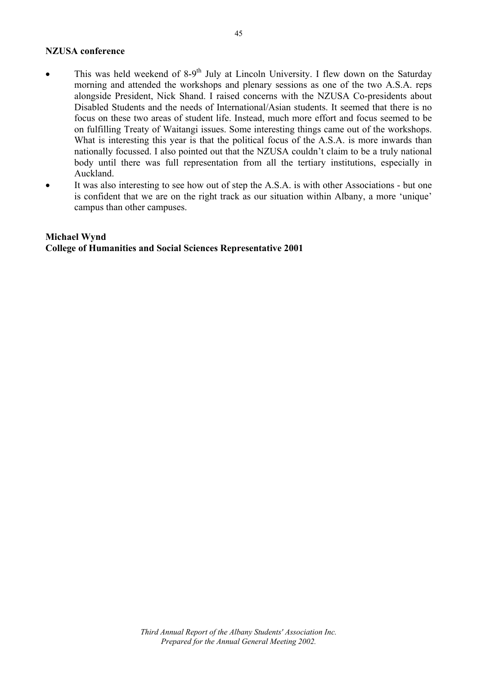#### **NZUSA conference**

- This was held weekend of  $8-9$ <sup>th</sup> July at Lincoln University. I flew down on the Saturday morning and attended the workshops and plenary sessions as one of the two A.S.A. reps alongside President, Nick Shand. I raised concerns with the NZUSA Co-presidents about Disabled Students and the needs of International/Asian students. It seemed that there is no focus on these two areas of student life. Instead, much more effort and focus seemed to be on fulfilling Treaty of Waitangi issues. Some interesting things came out of the workshops. What is interesting this year is that the political focus of the A.S.A. is more inwards than nationally focussed. I also pointed out that the NZUSA couldn't claim to be a truly national body until there was full representation from all the tertiary institutions, especially in Auckland.
- It was also interesting to see how out of step the A.S.A. is with other Associations but one is confident that we are on the right track as our situation within Albany, a more 'unique' campus than other campuses.

#### **Michael Wynd College of Humanities and Social Sciences Representative 2001**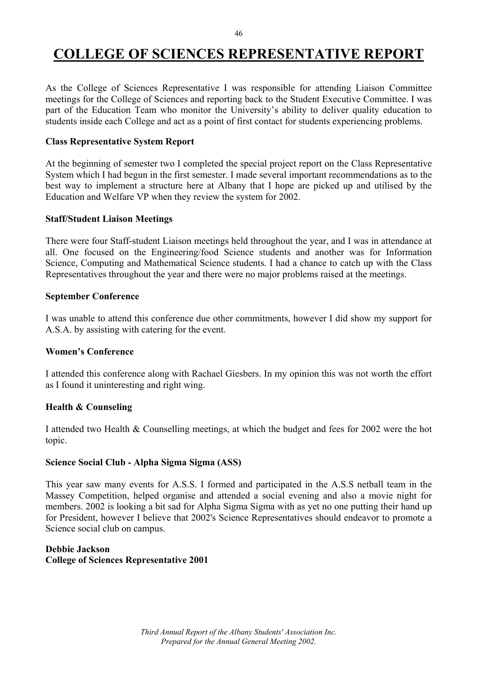# **COLLEGE OF SCIENCES REPRESENTATIVE REPORT**

As the College of Sciences Representative I was responsible for attending Liaison Committee meetings for the College of Sciences and reporting back to the Student Executive Committee. I was part of the Education Team who monitor the University's ability to deliver quality education to students inside each College and act as a point of first contact for students experiencing problems.

#### **Class Representative System Report**

At the beginning of semester two I completed the special project report on the Class Representative System which I had begun in the first semester. I made several important recommendations as to the best way to implement a structure here at Albany that I hope are picked up and utilised by the Education and Welfare VP when they review the system for 2002.

#### **Staff/Student Liaison Meetings**

There were four Staff-student Liaison meetings held throughout the year, and I was in attendance at all. One focused on the Engineering/food Science students and another was for Information Science, Computing and Mathematical Science students. I had a chance to catch up with the Class Representatives throughout the year and there were no major problems raised at the meetings.

#### **September Conference**

I was unable to attend this conference due other commitments, however I did show my support for A.S.A. by assisting with catering for the event.

#### **Women's Conference**

I attended this conference along with Rachael Giesbers. In my opinion this was not worth the effort as I found it uninteresting and right wing.

#### **Health & Counseling**

I attended two Health & Counselling meetings, at which the budget and fees for 2002 were the hot topic.

#### **Science Social Club - Alpha Sigma Sigma (ASS)**

This year saw many events for A.S.S. I formed and participated in the A.S.S netball team in the Massey Competition, helped organise and attended a social evening and also a movie night for members. 2002 is looking a bit sad for Alpha Sigma Sigma with as yet no one putting their hand up for President, however I believe that 2002's Science Representatives should endeavor to promote a Science social club on campus.

#### **Debbie Jackson College of Sciences Representative 2001**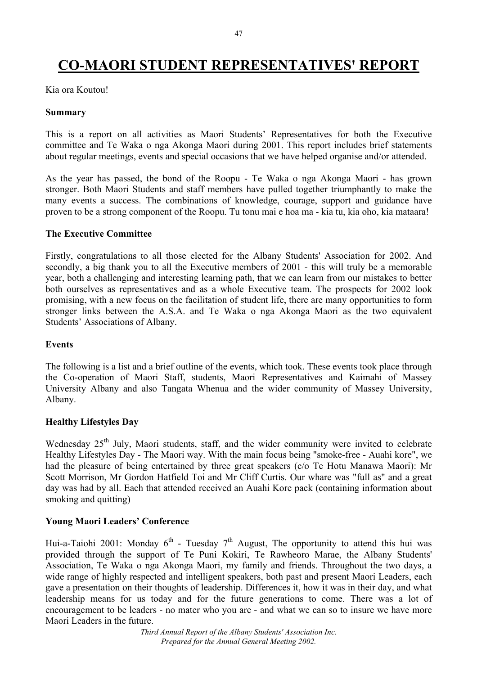# **CO-MAORI STUDENT REPRESENTATIVES' REPORT**

Kia ora Koutou!

#### **Summary**

This is a report on all activities as Maori Students' Representatives for both the Executive committee and Te Waka o nga Akonga Maori during 2001. This report includes brief statements about regular meetings, events and special occasions that we have helped organise and/or attended.

As the year has passed, the bond of the Roopu - Te Waka o nga Akonga Maori - has grown stronger. Both Maori Students and staff members have pulled together triumphantly to make the many events a success. The combinations of knowledge, courage, support and guidance have proven to be a strong component of the Roopu. Tu tonu mai e hoa ma - kia tu, kia oho, kia mataara!

#### **The Executive Committee**

Firstly, congratulations to all those elected for the Albany Students' Association for 2002. And secondly, a big thank you to all the Executive members of 2001 - this will truly be a memorable year, both a challenging and interesting learning path, that we can learn from our mistakes to better both ourselves as representatives and as a whole Executive team. The prospects for 2002 look promising, with a new focus on the facilitation of student life, there are many opportunities to form stronger links between the A.S.A. and Te Waka o nga Akonga Maori as the two equivalent Students' Associations of Albany.

#### **Events**

The following is a list and a brief outline of the events, which took. These events took place through the Co-operation of Maori Staff, students, Maori Representatives and Kaimahi of Massey University Albany and also Tangata Whenua and the wider community of Massey University, Albany.

#### **Healthy Lifestyles Day**

Wednesday 25<sup>th</sup> July, Maori students, staff, and the wider community were invited to celebrate Healthy Lifestyles Day - The Maori way. With the main focus being "smoke-free - Auahi kore", we had the pleasure of being entertained by three great speakers (c/o Te Hotu Manawa Maori): Mr Scott Morrison, Mr Gordon Hatfield Toi and Mr Cliff Curtis. Our whare was "full as" and a great day was had by all. Each that attended received an Auahi Kore pack (containing information about smoking and quitting)

#### **Young Maori Leaders' Conference**

Hui-a-Taiohi 2001: Monday  $6<sup>th</sup>$  - Tuesday  $7<sup>th</sup>$  August, The opportunity to attend this hui was provided through the support of Te Puni Kokiri, Te Rawheoro Marae, the Albany Students' Association, Te Waka o nga Akonga Maori, my family and friends. Throughout the two days, a wide range of highly respected and intelligent speakers, both past and present Maori Leaders, each gave a presentation on their thoughts of leadership. Differences it, how it was in their day, and what leadership means for us today and for the future generations to come. There was a lot of encouragement to be leaders - no mater who you are - and what we can so to insure we have more Maori Leaders in the future.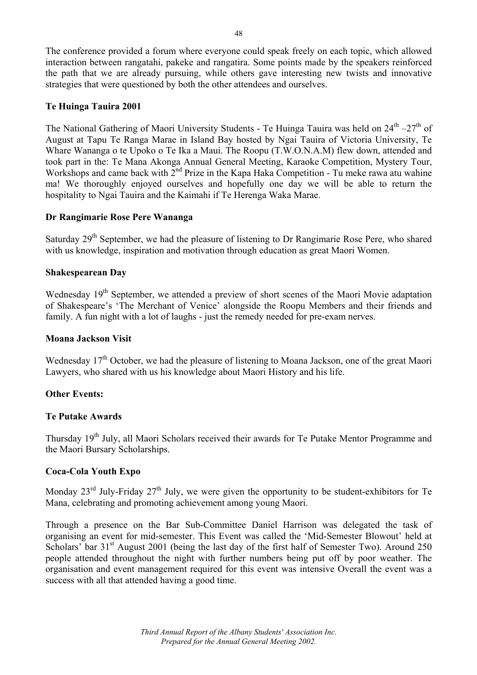The conference provided a forum where everyone could speak freely on each topic, which allowed interaction between rangatahi, pakeke and rangatira. Some points made by the speakers reinforced the path that we are already pursuing, while others gave interesting new twists and innovative strategies that were questioned by both the other attendees and ourselves.

#### **Te Huinga Tauira 2001**

The National Gathering of Maori University Students - Te Huinga Tauira was held on  $24<sup>th</sup> - 27<sup>th</sup>$  of August at Tapu Te Ranga Marae in Island Bay hosted by Ngai Tauira of Victoria University, Te Whare Wananga o te Upoko o Te Ika a Maui. The Roopu (T.W.O.N.A.M) flew down, attended and took part in the: Te Mana Akonga Annual General Meeting, Karaoke Competition, Mystery Tour, Workshops and came back with  $2^{nd}$  Prize in the Kapa Haka Competition - Tu meke rawa atu wahine ma! We thoroughly enjoyed ourselves and hopefully one day we will be able to return the hospitality to Ngai Tauira and the Kaimahi if Te Herenga Waka Marae.

#### **Dr Rangimarie Rose Pere Wananga**

Saturday 29<sup>th</sup> September, we had the pleasure of listening to Dr Rangimarie Rose Pere, who shared with us knowledge, inspiration and motivation through education as great Maori Women.

#### **Shakespearean Day**

Wednesday 19<sup>th</sup> September, we attended a preview of short scenes of the Maori Movie adaptation of Shakespeare's 'The Merchant of Venice' alongside the Roopu Members and their friends and family. A fun night with a lot of laughs - just the remedy needed for pre-exam nerves.

#### **Moana Jackson Visit**

Wednesday 17<sup>th</sup> October, we had the pleasure of listening to Moana Jackson, one of the great Maori Lawyers, who shared with us his knowledge about Maori History and his life.

#### **Other Events:**

#### **Te Putake Awards**

Thursday 19<sup>th</sup> July, all Maori Scholars received their awards for Te Putake Mentor Programme and the Maori Bursary Scholarships.

#### **Coca-Cola Youth Expo**

Monday  $23^{\text{rd}}$  July-Friday  $27^{\text{th}}$  July, we were given the opportunity to be student-exhibitors for Te Mana, celebrating and promoting achievement among young Maori.

Through a presence on the Bar Sub-Committee Daniel Harrison was delegated the task of organising an event for mid-semester. This Event was called the 'Mid-Semester Blowout' held at Scholars' bar 31<sup>st</sup> August 2001 (being the last day of the first half of Semester Two). Around 250 people attended throughout the night with further numbers being put off by poor weather. The organisation and event management required for this event was intensive Overall the event was a success with all that attended having a good time.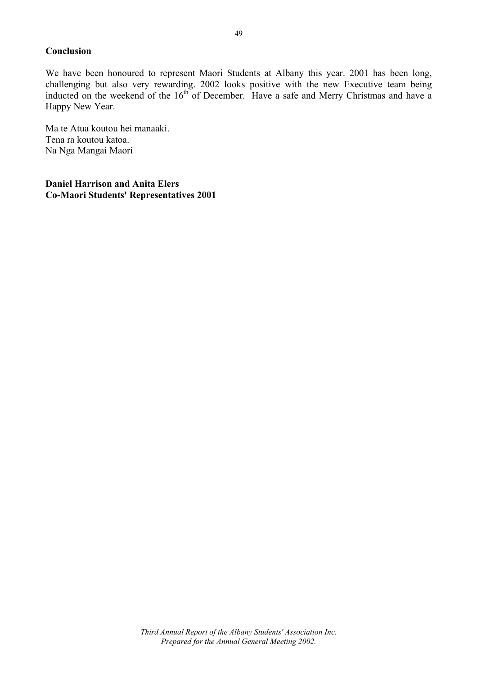#### **Conclusion**

We have been honoured to represent Maori Students at Albany this year. 2001 has been long, challenging but also very rewarding. 2002 looks positive with the new Executive team being inducted on the weekend of the 16<sup>th</sup> of December. Have a safe and Merry Christmas and have a Happy New Year.

Ma te Atua koutou hei manaaki. Tena ra koutou katoa. Na Nga Mangai Maori

**Daniel Harrison and Anita Elers Co-Maori Students' Representatives 2001**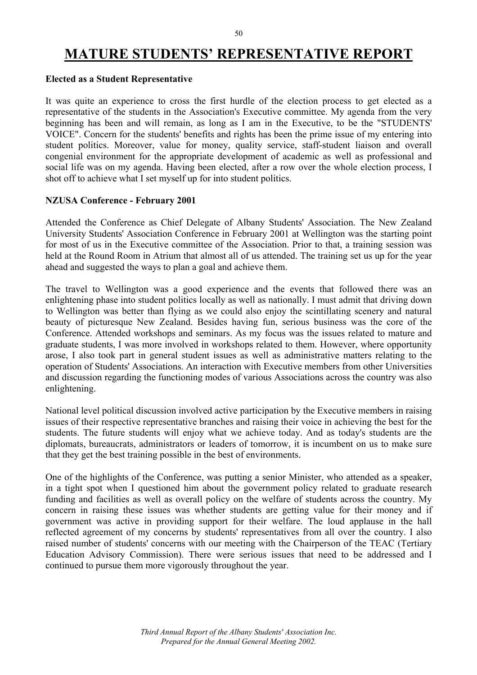#### 50

### **MATURE STUDENTS' REPRESENTATIVE REPORT**

#### **Elected as a Student Representative**

It was quite an experience to cross the first hurdle of the election process to get elected as a representative of the students in the Association's Executive committee. My agenda from the very beginning has been and will remain, as long as I am in the Executive, to be the "STUDENTS' VOICE". Concern for the students' benefits and rights has been the prime issue of my entering into student politics. Moreover, value for money, quality service, staff-student liaison and overall congenial environment for the appropriate development of academic as well as professional and social life was on my agenda. Having been elected, after a row over the whole election process, I shot off to achieve what I set myself up for into student politics.

#### **NZUSA Conference - February 2001**

Attended the Conference as Chief Delegate of Albany Students' Association. The New Zealand University Students' Association Conference in February 2001 at Wellington was the starting point for most of us in the Executive committee of the Association. Prior to that, a training session was held at the Round Room in Atrium that almost all of us attended. The training set us up for the year ahead and suggested the ways to plan a goal and achieve them.

The travel to Wellington was a good experience and the events that followed there was an enlightening phase into student politics locally as well as nationally. I must admit that driving down to Wellington was better than flying as we could also enjoy the scintillating scenery and natural beauty of picturesque New Zealand. Besides having fun, serious business was the core of the Conference. Attended workshops and seminars. As my focus was the issues related to mature and graduate students, I was more involved in workshops related to them. However, where opportunity arose, I also took part in general student issues as well as administrative matters relating to the operation of Students' Associations. An interaction with Executive members from other Universities and discussion regarding the functioning modes of various Associations across the country was also enlightening.

National level political discussion involved active participation by the Executive members in raising issues of their respective representative branches and raising their voice in achieving the best for the students. The future students will enjoy what we achieve today. And as today's students are the diplomats, bureaucrats, administrators or leaders of tomorrow, it is incumbent on us to make sure that they get the best training possible in the best of environments.

One of the highlights of the Conference, was putting a senior Minister, who attended as a speaker, in a tight spot when I questioned him about the government policy related to graduate research funding and facilities as well as overall policy on the welfare of students across the country. My concern in raising these issues was whether students are getting value for their money and if government was active in providing support for their welfare. The loud applause in the hall reflected agreement of my concerns by students' representatives from all over the country. I also raised number of students' concerns with our meeting with the Chairperson of the TEAC (Tertiary Education Advisory Commission). There were serious issues that need to be addressed and I continued to pursue them more vigorously throughout the year.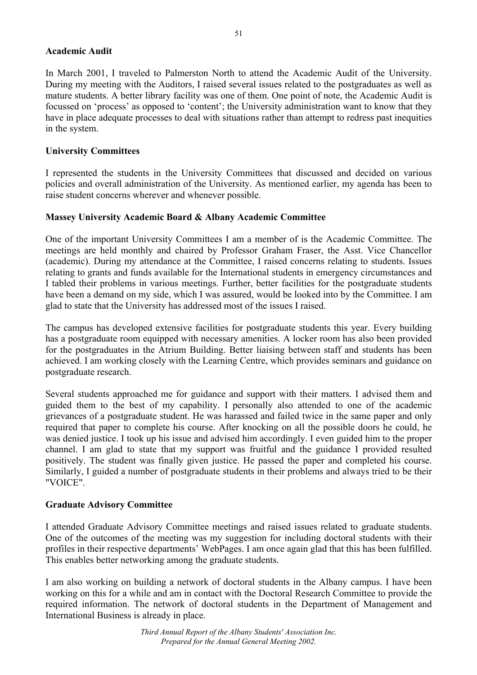#### **Academic Audit**

In March 2001, I traveled to Palmerston North to attend the Academic Audit of the University. During my meeting with the Auditors, I raised several issues related to the postgraduates as well as mature students. A better library facility was one of them. One point of note, the Academic Audit is focussed on 'process' as opposed to 'content'; the University administration want to know that they have in place adequate processes to deal with situations rather than attempt to redress past inequities in the system.

#### **University Committees**

I represented the students in the University Committees that discussed and decided on various policies and overall administration of the University. As mentioned earlier, my agenda has been to raise student concerns wherever and whenever possible.

#### **Massey University Academic Board & Albany Academic Committee**

One of the important University Committees I am a member of is the Academic Committee. The meetings are held monthly and chaired by Professor Graham Fraser, the Asst. Vice Chancellor (academic). During my attendance at the Committee, I raised concerns relating to students. Issues relating to grants and funds available for the International students in emergency circumstances and I tabled their problems in various meetings. Further, better facilities for the postgraduate students have been a demand on my side, which I was assured, would be looked into by the Committee. I am glad to state that the University has addressed most of the issues I raised.

The campus has developed extensive facilities for postgraduate students this year. Every building has a postgraduate room equipped with necessary amenities. A locker room has also been provided for the postgraduates in the Atrium Building. Better liaising between staff and students has been achieved. I am working closely with the Learning Centre, which provides seminars and guidance on postgraduate research.

Several students approached me for guidance and support with their matters. I advised them and guided them to the best of my capability. I personally also attended to one of the academic grievances of a postgraduate student. He was harassed and failed twice in the same paper and only required that paper to complete his course. After knocking on all the possible doors he could, he was denied justice. I took up his issue and advised him accordingly. I even guided him to the proper channel. I am glad to state that my support was fruitful and the guidance I provided resulted positively. The student was finally given justice. He passed the paper and completed his course. Similarly, I guided a number of postgraduate students in their problems and always tried to be their "VOICE".

#### **Graduate Advisory Committee**

I attended Graduate Advisory Committee meetings and raised issues related to graduate students. One of the outcomes of the meeting was my suggestion for including doctoral students with their profiles in their respective departments' WebPages. I am once again glad that this has been fulfilled. This enables better networking among the graduate students.

I am also working on building a network of doctoral students in the Albany campus. I have been working on this for a while and am in contact with the Doctoral Research Committee to provide the required information. The network of doctoral students in the Department of Management and International Business is already in place.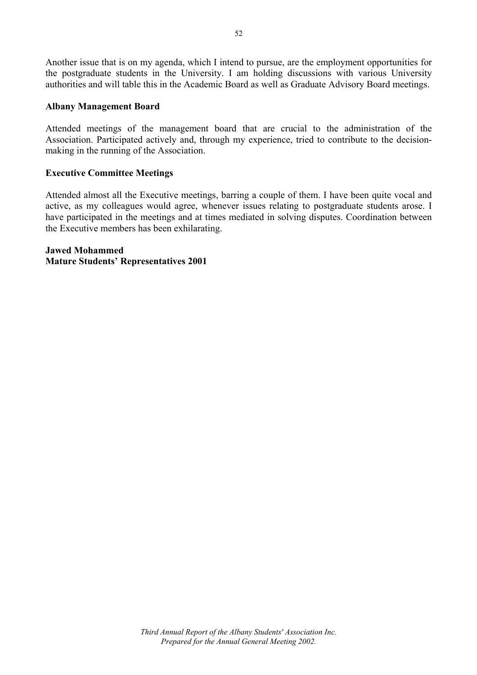Another issue that is on my agenda, which I intend to pursue, are the employment opportunities for the postgraduate students in the University. I am holding discussions with various University authorities and will table this in the Academic Board as well as Graduate Advisory Board meetings.

#### **Albany Management Board**

Attended meetings of the management board that are crucial to the administration of the Association. Participated actively and, through my experience, tried to contribute to the decisionmaking in the running of the Association.

#### **Executive Committee Meetings**

Attended almost all the Executive meetings, barring a couple of them. I have been quite vocal and active, as my colleagues would agree, whenever issues relating to postgraduate students arose. I have participated in the meetings and at times mediated in solving disputes. Coordination between the Executive members has been exhilarating.

#### **Jawed Mohammed Mature Students' Representatives 2001**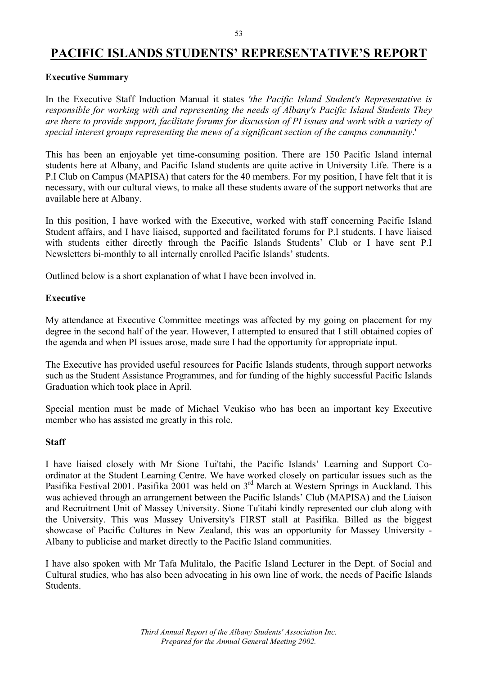### **PACIFIC ISLANDS STUDENTS' REPRESENTATIVE'S REPORT**

#### **Executive Summary**

In the Executive Staff Induction Manual it states *'the Pacific Island Student's Representative is responsible for working with and representing the needs of Albany's Pacific Island Students They are there to provide support, facilitate forums for discussion of PI issues and work with a variety of special interest groups representing the mews of a significant section of the campus community*.'

This has been an enjoyable yet time-consuming position. There are 150 Pacific Island internal students here at Albany, and Pacific Island students are quite active in University Life. There is a P.I Club on Campus (MAPISA) that caters for the 40 members. For my position, I have felt that it is necessary, with our cultural views, to make all these students aware of the support networks that are available here at Albany.

In this position, I have worked with the Executive, worked with staff concerning Pacific Island Student affairs, and I have liaised, supported and facilitated forums for P.I students. I have liaised with students either directly through the Pacific Islands Students' Club or I have sent P.I Newsletters bi-monthly to all internally enrolled Pacific Islands' students.

Outlined below is a short explanation of what I have been involved in.

#### **Executive**

My attendance at Executive Committee meetings was affected by my going on placement for my degree in the second half of the year. However, I attempted to ensured that I still obtained copies of the agenda and when PI issues arose, made sure I had the opportunity for appropriate input.

The Executive has provided useful resources for Pacific Islands students, through support networks such as the Student Assistance Programmes, and for funding of the highly successful Pacific Islands Graduation which took place in April.

Special mention must be made of Michael Veukiso who has been an important key Executive member who has assisted me greatly in this role.

#### **Staff**

I have liaised closely with Mr Sione Tui'tahi, the Pacific Islands' Learning and Support Coordinator at the Student Learning Centre. We have worked closely on particular issues such as the Pasifika Festival 2001. Pasifika 2001 was held on 3<sup>rd</sup> March at Western Springs in Auckland. This was achieved through an arrangement between the Pacific Islands' Club (MAPISA) and the Liaison and Recruitment Unit of Massey University. Sione Tu'itahi kindly represented our club along with the University. This was Massey University's FIRST stall at Pasifika. Billed as the biggest showcase of Pacific Cultures in New Zealand, this was an opportunity for Massey University - Albany to publicise and market directly to the Pacific Island communities.

I have also spoken with Mr Tafa Mulitalo, the Pacific Island Lecturer in the Dept. of Social and Cultural studies, who has also been advocating in his own line of work, the needs of Pacific Islands Students.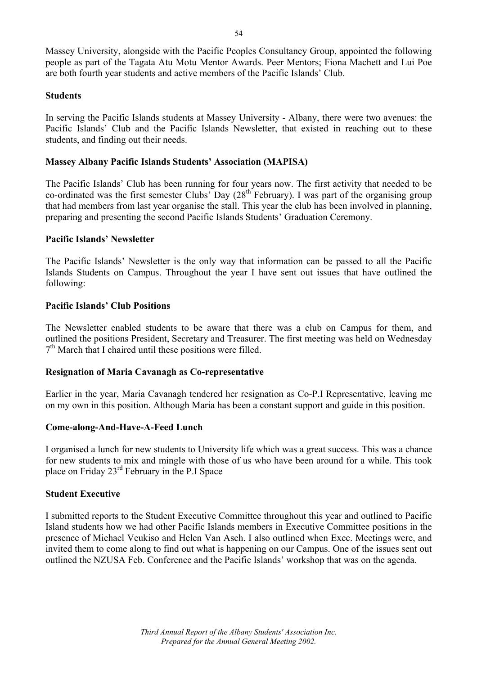Massey University, alongside with the Pacific Peoples Consultancy Group, appointed the following people as part of the Tagata Atu Motu Mentor Awards. Peer Mentors; Fiona Machett and Lui Poe are both fourth year students and active members of the Pacific Islands' Club.

#### **Students**

In serving the Pacific Islands students at Massey University - Albany, there were two avenues: the Pacific Islands' Club and the Pacific Islands Newsletter, that existed in reaching out to these students, and finding out their needs.

#### **Massey Albany Pacific Islands Students' Association (MAPISA)**

The Pacific Islands' Club has been running for four years now. The first activity that needed to be co-ordinated was the first semester Clubs' Day (28<sup>th</sup> February). I was part of the organising group that had members from last year organise the stall. This year the club has been involved in planning, preparing and presenting the second Pacific Islands Students' Graduation Ceremony.

#### **Pacific Islands' Newsletter**

The Pacific Islands' Newsletter is the only way that information can be passed to all the Pacific Islands Students on Campus. Throughout the year I have sent out issues that have outlined the following:

#### **Pacific Islands' Club Positions**

The Newsletter enabled students to be aware that there was a club on Campus for them, and outlined the positions President, Secretary and Treasurer. The first meeting was held on Wednesday  $7<sup>th</sup>$  March that I chaired until these positions were filled.

#### **Resignation of Maria Cavanagh as Co-representative**

Earlier in the year, Maria Cavanagh tendered her resignation as Co-P.I Representative, leaving me on my own in this position. Although Maria has been a constant support and guide in this position.

#### **Come-along-And-Have-A-Feed Lunch**

I organised a lunch for new students to University life which was a great success. This was a chance for new students to mix and mingle with those of us who have been around for a while. This took place on Friday 23rd February in the P.I Space

#### **Student Executive**

I submitted reports to the Student Executive Committee throughout this year and outlined to Pacific Island students how we had other Pacific Islands members in Executive Committee positions in the presence of Michael Veukiso and Helen Van Asch. I also outlined when Exec. Meetings were, and invited them to come along to find out what is happening on our Campus. One of the issues sent out outlined the NZUSA Feb. Conference and the Pacific Islands' workshop that was on the agenda.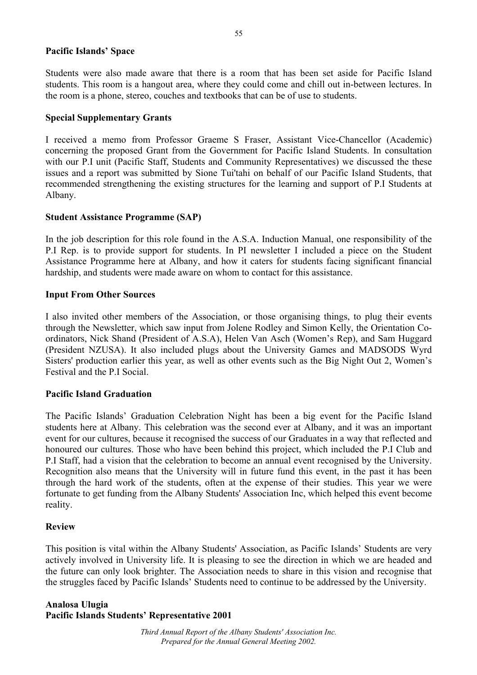#### **Pacific Islands' Space**

Students were also made aware that there is a room that has been set aside for Pacific Island students. This room is a hangout area, where they could come and chill out in-between lectures. In the room is a phone, stereo, couches and textbooks that can be of use to students.

#### **Special Supplementary Grants**

I received a memo from Professor Graeme S Fraser, Assistant Vice-Chancellor (Academic) concerning the proposed Grant from the Government for Pacific Island Students. In consultation with our P.I unit (Pacific Staff, Students and Community Representatives) we discussed the these issues and a report was submitted by Sione Tui'tahi on behalf of our Pacific Island Students, that recommended strengthening the existing structures for the learning and support of P.I Students at Albany.

#### **Student Assistance Programme (SAP)**

In the job description for this role found in the A.S.A. Induction Manual, one responsibility of the P.I Rep. is to provide support for students. In PI newsletter I included a piece on the Student Assistance Programme here at Albany, and how it caters for students facing significant financial hardship, and students were made aware on whom to contact for this assistance.

#### **Input From Other Sources**

I also invited other members of the Association, or those organising things, to plug their events through the Newsletter, which saw input from Jolene Rodley and Simon Kelly, the Orientation Coordinators, Nick Shand (President of A.S.A), Helen Van Asch (Women's Rep), and Sam Huggard (President NZUSA). It also included plugs about the University Games and MADSODS Wyrd Sisters' production earlier this year, as well as other events such as the Big Night Out 2, Women's Festival and the P.I Social.

#### **Pacific Island Graduation**

The Pacific Islands' Graduation Celebration Night has been a big event for the Pacific Island students here at Albany. This celebration was the second ever at Albany, and it was an important event for our cultures, because it recognised the success of our Graduates in a way that reflected and honoured our cultures. Those who have been behind this project, which included the P.I Club and P.I Staff, had a vision that the celebration to become an annual event recognised by the University. Recognition also means that the University will in future fund this event, in the past it has been through the hard work of the students, often at the expense of their studies. This year we were fortunate to get funding from the Albany Students' Association Inc, which helped this event become reality.

#### **Review**

This position is vital within the Albany Students' Association, as Pacific Islands' Students are very actively involved in University life. It is pleasing to see the direction in which we are headed and the future can only look brighter. The Association needs to share in this vision and recognise that the struggles faced by Pacific Islands' Students need to continue to be addressed by the University.

#### **Analosa Ulugia Pacific Islands Students' Representative 2001**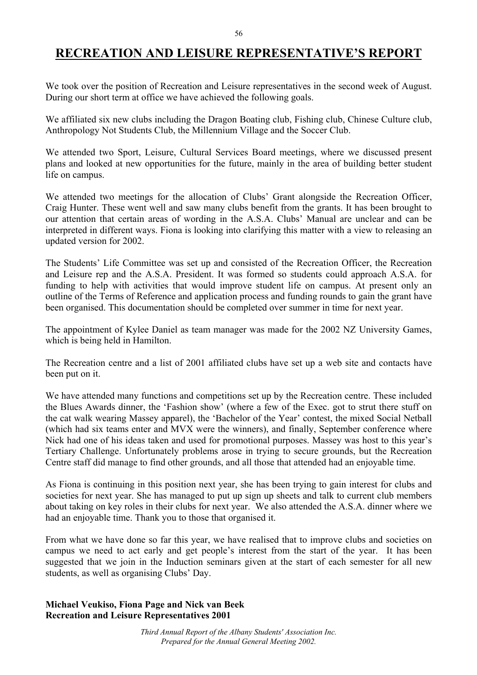### **RECREATION AND LEISURE REPRESENTATIVE'S REPORT**

We took over the position of Recreation and Leisure representatives in the second week of August. During our short term at office we have achieved the following goals.

We affiliated six new clubs including the Dragon Boating club, Fishing club, Chinese Culture club, Anthropology Not Students Club, the Millennium Village and the Soccer Club.

We attended two Sport, Leisure, Cultural Services Board meetings, where we discussed present plans and looked at new opportunities for the future, mainly in the area of building better student life on campus.

We attended two meetings for the allocation of Clubs' Grant alongside the Recreation Officer, Craig Hunter. These went well and saw many clubs benefit from the grants. It has been brought to our attention that certain areas of wording in the A.S.A. Clubs' Manual are unclear and can be interpreted in different ways. Fiona is looking into clarifying this matter with a view to releasing an updated version for 2002.

The Students' Life Committee was set up and consisted of the Recreation Officer, the Recreation and Leisure rep and the A.S.A. President. It was formed so students could approach A.S.A. for funding to help with activities that would improve student life on campus. At present only an outline of the Terms of Reference and application process and funding rounds to gain the grant have been organised. This documentation should be completed over summer in time for next year.

The appointment of Kylee Daniel as team manager was made for the 2002 NZ University Games, which is being held in Hamilton.

The Recreation centre and a list of 2001 affiliated clubs have set up a web site and contacts have been put on it.

We have attended many functions and competitions set up by the Recreation centre. These included the Blues Awards dinner, the 'Fashion show' (where a few of the Exec. got to strut there stuff on the cat walk wearing Massey apparel), the 'Bachelor of the Year' contest, the mixed Social Netball (which had six teams enter and MVX were the winners), and finally, September conference where Nick had one of his ideas taken and used for promotional purposes. Massey was host to this year's Tertiary Challenge. Unfortunately problems arose in trying to secure grounds, but the Recreation Centre staff did manage to find other grounds, and all those that attended had an enjoyable time.

As Fiona is continuing in this position next year, she has been trying to gain interest for clubs and societies for next year. She has managed to put up sign up sheets and talk to current club members about taking on key roles in their clubs for next year. We also attended the A.S.A. dinner where we had an enjoyable time. Thank you to those that organised it.

From what we have done so far this year, we have realised that to improve clubs and societies on campus we need to act early and get people's interest from the start of the year. It has been suggested that we join in the Induction seminars given at the start of each semester for all new students, as well as organising Clubs' Day.

#### **Michael Veukiso, Fiona Page and Nick van Beek Recreation and Leisure Representatives 2001**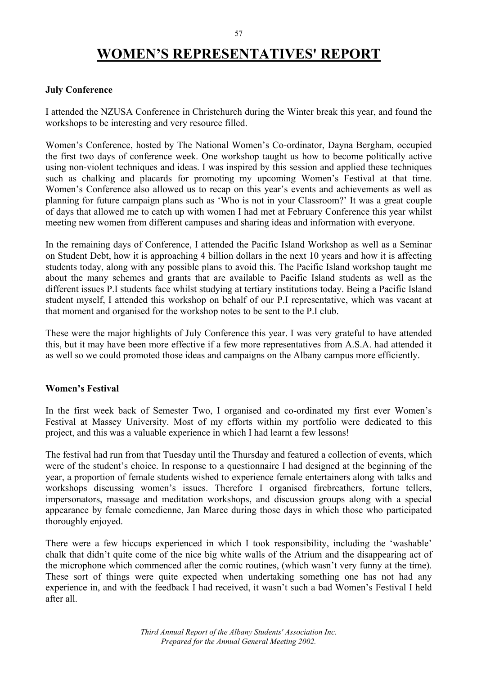# **WOMEN'S REPRESENTATIVES' REPORT**

#### **July Conference**

I attended the NZUSA Conference in Christchurch during the Winter break this year, and found the workshops to be interesting and very resource filled.

Women's Conference, hosted by The National Women's Co-ordinator, Dayna Bergham, occupied the first two days of conference week. One workshop taught us how to become politically active using non-violent techniques and ideas. I was inspired by this session and applied these techniques such as chalking and placards for promoting my upcoming Women's Festival at that time. Women's Conference also allowed us to recap on this year's events and achievements as well as planning for future campaign plans such as 'Who is not in your Classroom?' It was a great couple of days that allowed me to catch up with women I had met at February Conference this year whilst meeting new women from different campuses and sharing ideas and information with everyone.

In the remaining days of Conference, I attended the Pacific Island Workshop as well as a Seminar on Student Debt, how it is approaching 4 billion dollars in the next 10 years and how it is affecting students today, along with any possible plans to avoid this. The Pacific Island workshop taught me about the many schemes and grants that are available to Pacific Island students as well as the different issues P.I students face whilst studying at tertiary institutions today. Being a Pacific Island student myself, I attended this workshop on behalf of our P.I representative, which was vacant at that moment and organised for the workshop notes to be sent to the P.I club.

These were the major highlights of July Conference this year. I was very grateful to have attended this, but it may have been more effective if a few more representatives from A.S.A. had attended it as well so we could promoted those ideas and campaigns on the Albany campus more efficiently.

#### **Women's Festival**

In the first week back of Semester Two, I organised and co-ordinated my first ever Women's Festival at Massey University. Most of my efforts within my portfolio were dedicated to this project, and this was a valuable experience in which I had learnt a few lessons!

The festival had run from that Tuesday until the Thursday and featured a collection of events, which were of the student's choice. In response to a questionnaire I had designed at the beginning of the year, a proportion of female students wished to experience female entertainers along with talks and workshops discussing women's issues. Therefore I organised firebreathers, fortune tellers, impersonators, massage and meditation workshops, and discussion groups along with a special appearance by female comedienne, Jan Maree during those days in which those who participated thoroughly enjoyed.

There were a few hiccups experienced in which I took responsibility, including the 'washable' chalk that didn't quite come of the nice big white walls of the Atrium and the disappearing act of the microphone which commenced after the comic routines, (which wasn't very funny at the time). These sort of things were quite expected when undertaking something one has not had any experience in, and with the feedback I had received, it wasn't such a bad Women's Festival I held after all.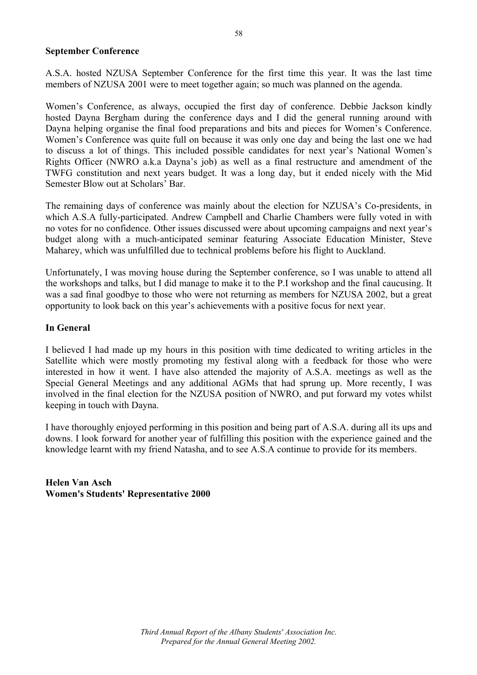#### **September Conference**

A.S.A. hosted NZUSA September Conference for the first time this year. It was the last time members of NZUSA 2001 were to meet together again; so much was planned on the agenda.

Women's Conference, as always, occupied the first day of conference. Debbie Jackson kindly hosted Dayna Bergham during the conference days and I did the general running around with Dayna helping organise the final food preparations and bits and pieces for Women's Conference. Women's Conference was quite full on because it was only one day and being the last one we had to discuss a lot of things. This included possible candidates for next year's National Women's Rights Officer (NWRO a.k.a Dayna's job) as well as a final restructure and amendment of the TWFG constitution and next years budget. It was a long day, but it ended nicely with the Mid Semester Blow out at Scholars' Bar.

The remaining days of conference was mainly about the election for NZUSA's Co-presidents, in which A.S.A fully-participated. Andrew Campbell and Charlie Chambers were fully voted in with no votes for no confidence. Other issues discussed were about upcoming campaigns and next year's budget along with a much-anticipated seminar featuring Associate Education Minister, Steve Maharey, which was unfulfilled due to technical problems before his flight to Auckland.

Unfortunately, I was moving house during the September conference, so I was unable to attend all the workshops and talks, but I did manage to make it to the P.I workshop and the final caucusing. It was a sad final goodbye to those who were not returning as members for NZUSA 2002, but a great opportunity to look back on this year's achievements with a positive focus for next year.

#### **In General**

I believed I had made up my hours in this position with time dedicated to writing articles in the Satellite which were mostly promoting my festival along with a feedback for those who were interested in how it went. I have also attended the majority of A.S.A. meetings as well as the Special General Meetings and any additional AGMs that had sprung up. More recently, I was involved in the final election for the NZUSA position of NWRO, and put forward my votes whilst keeping in touch with Dayna.

I have thoroughly enjoyed performing in this position and being part of A.S.A. during all its ups and downs. I look forward for another year of fulfilling this position with the experience gained and the knowledge learnt with my friend Natasha, and to see A.S.A continue to provide for its members.

**Helen Van Asch Women's Students' Representative 2000**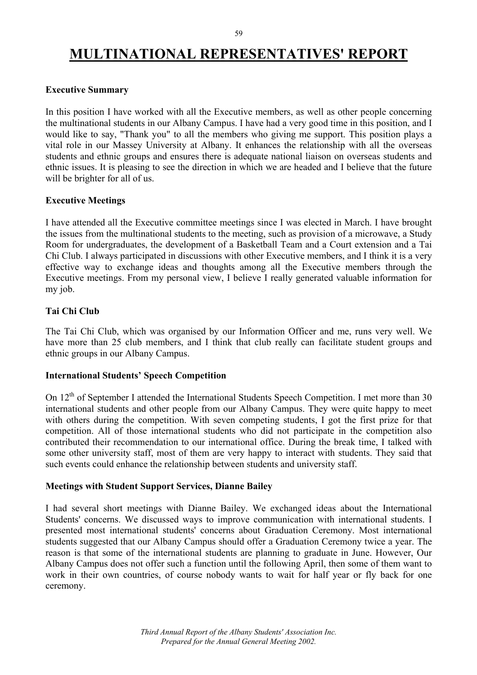### **MULTINATIONAL REPRESENTATIVES' REPORT**

#### **Executive Summary**

In this position I have worked with all the Executive members, as well as other people concerning the multinational students in our Albany Campus. I have had a very good time in this position, and I would like to say, "Thank you" to all the members who giving me support. This position plays a vital role in our Massey University at Albany. It enhances the relationship with all the overseas students and ethnic groups and ensures there is adequate national liaison on overseas students and ethnic issues. It is pleasing to see the direction in which we are headed and I believe that the future will be brighter for all of us.

#### **Executive Meetings**

I have attended all the Executive committee meetings since I was elected in March. I have brought the issues from the multinational students to the meeting, such as provision of a microwave, a Study Room for undergraduates, the development of a Basketball Team and a Court extension and a Tai Chi Club. I always participated in discussions with other Executive members, and I think it is a very effective way to exchange ideas and thoughts among all the Executive members through the Executive meetings. From my personal view, I believe I really generated valuable information for my job.

#### **Tai Chi Club**

The Tai Chi Club, which was organised by our Information Officer and me, runs very well. We have more than 25 club members, and I think that club really can facilitate student groups and ethnic groups in our Albany Campus.

#### **International Students' Speech Competition**

On 12th of September I attended the International Students Speech Competition. I met more than 30 international students and other people from our Albany Campus. They were quite happy to meet with others during the competition. With seven competing students, I got the first prize for that competition. All of those international students who did not participate in the competition also contributed their recommendation to our international office. During the break time, I talked with some other university staff, most of them are very happy to interact with students. They said that such events could enhance the relationship between students and university staff.

#### **Meetings with Student Support Services, Dianne Bailey**

I had several short meetings with Dianne Bailey. We exchanged ideas about the International Students' concerns. We discussed ways to improve communication with international students. I presented most international students' concerns about Graduation Ceremony. Most international students suggested that our Albany Campus should offer a Graduation Ceremony twice a year. The reason is that some of the international students are planning to graduate in June. However, Our Albany Campus does not offer such a function until the following April, then some of them want to work in their own countries, of course nobody wants to wait for half year or fly back for one ceremony.